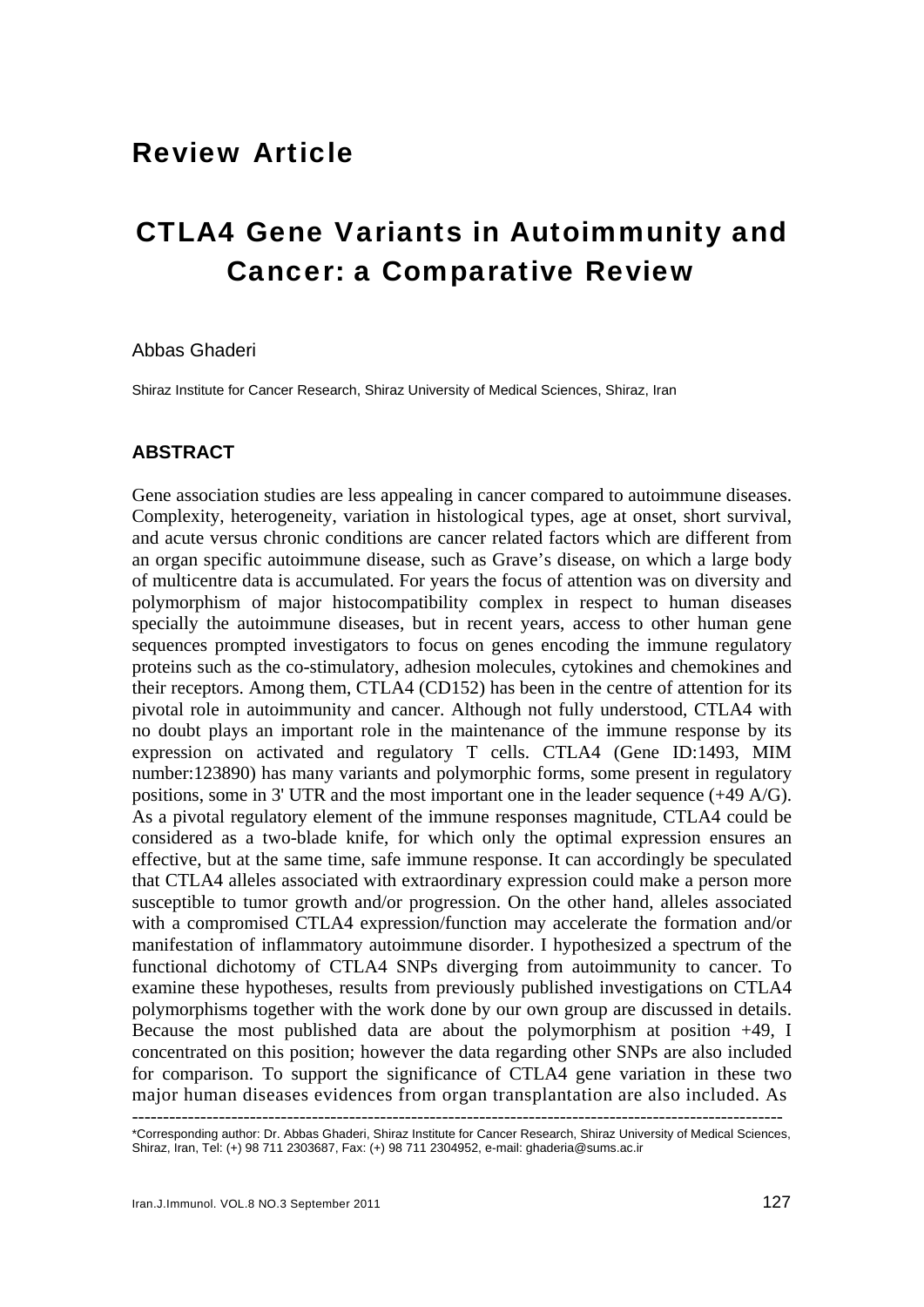## Review Article

# CTLA4 Gene Variants in Autoimmunity and Cancer: a Comparative Review

#### Abbas Ghaderi

Shiraz Institute for Cancer Research, Shiraz University of Medical Sciences, Shiraz, Iran

### **ABSTRACT**

Gene association studies are less appealing in cancer compared to autoimmune diseases. Complexity, heterogeneity, variation in histological types, age at onset, short survival, and acute versus chronic conditions are cancer related factors which are different from an organ specific autoimmune disease, such as Grave's disease, on which a large body of multicentre data is accumulated. For years the focus of attention was on diversity and polymorphism of major histocompatibility complex in respect to human diseases specially the autoimmune diseases, but in recent years, access to other human gene sequences prompted investigators to focus on genes encoding the immune regulatory proteins such as the co-stimulatory, adhesion molecules, cytokines and chemokines and their receptors. Among them, CTLA4 (CD152) has been in the centre of attention for its pivotal role in autoimmunity and cancer. Although not fully understood, CTLA4 with no doubt plays an important role in the maintenance of the immune response by its expression on activated and regulatory T cells. CTLA4 (Gene ID:1493, MIM number:123890) has many variants and polymorphic forms, some present in regulatory positions, some in 3' UTR and the most important one in the leader sequence (+49 A/G). As a pivotal regulatory element of the immune responses magnitude, CTLA4 could be considered as a two-blade knife, for which only the optimal expression ensures an effective, but at the same time, safe immune response. It can accordingly be speculated that CTLA4 alleles associated with extraordinary expression could make a person more susceptible to tumor growth and/or progression. On the other hand, alleles associated with a compromised CTLA4 expression/function may accelerate the formation and/or manifestation of inflammatory autoimmune disorder. I hypothesized a spectrum of the functional dichotomy of CTLA4 SNPs diverging from autoimmunity to cancer. To examine these hypotheses, results from previously published investigations on CTLA4 polymorphisms together with the work done by our own group are discussed in details. Because the most published data are about the polymorphism at position +49, I concentrated on this position; however the data regarding other SNPs are also included for comparison. To support the significance of CTLA4 gene variation in these two major human diseases evidences from organ transplantation are also included. As

<sup>---------------------------------------------------------------------------------------------------------</sup> \*Corresponding author: Dr. Abbas Ghaderi, Shiraz Institute for Cancer Research, Shiraz University of Medical Sciences, Shiraz, Iran, Tel: (+) 98 711 2303687, Fax: (+) 98 711 2304952, e-mail: ghaderia@sums.ac.ir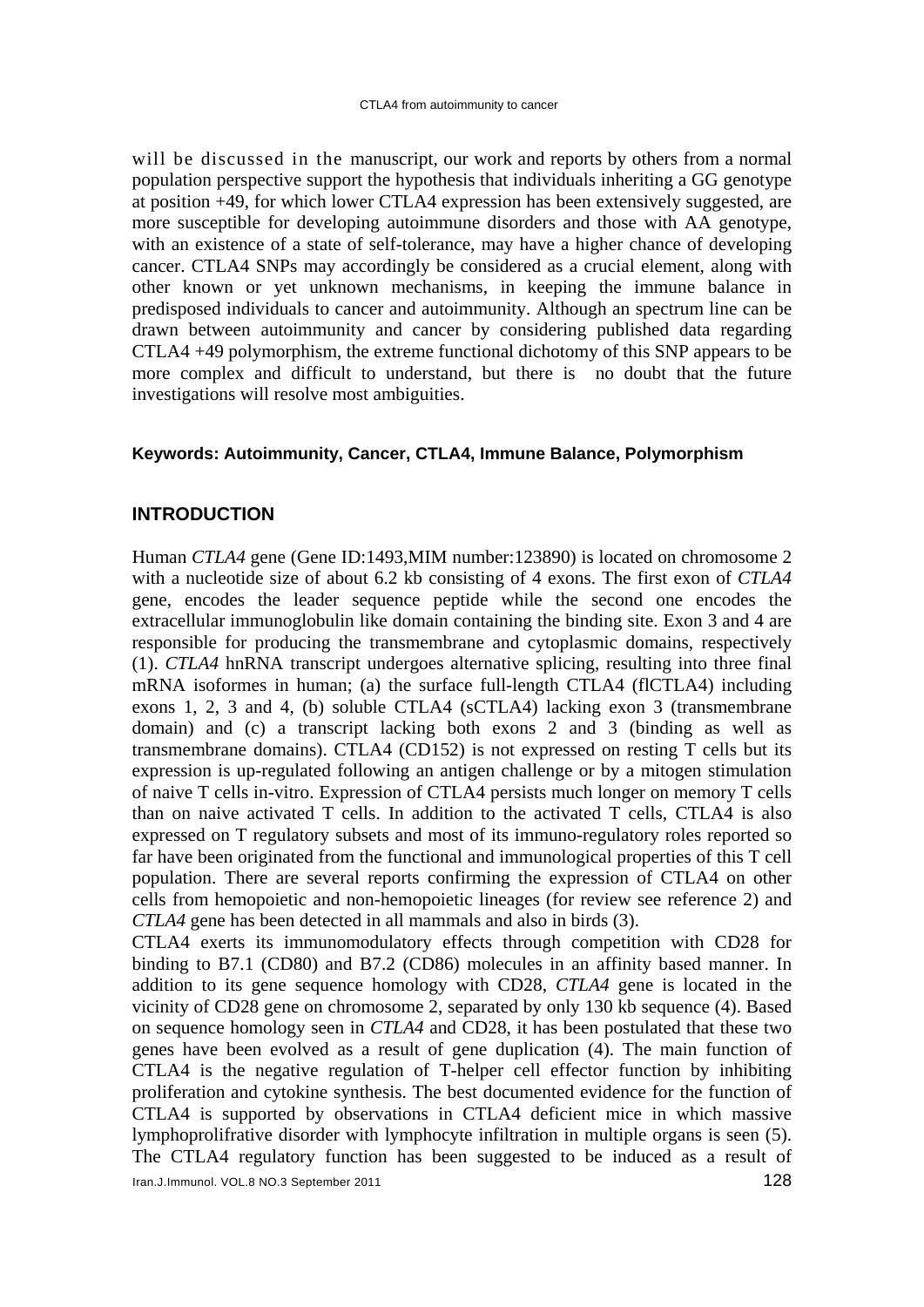will be discussed in the manuscript, our work and reports by others from a normal population perspective support the hypothesis that individuals inheriting a GG genotype at position +49, for which lower CTLA4 expression has been extensively suggested, are more susceptible for developing autoimmune disorders and those with AA genotype, with an existence of a state of self-tolerance, may have a higher chance of developing cancer. CTLA4 SNPs may accordingly be considered as a crucial element, along with other known or yet unknown mechanisms, in keeping the immune balance in predisposed individuals to cancer and autoimmunity. Although an spectrum line can be drawn between autoimmunity and cancer by considering published data regarding CTLA4 +49 polymorphism, the extreme functional dichotomy of this SNP appears to be more complex and difficult to understand, but there is no doubt that the future investigations will resolve most ambiguities.

#### **Keywords: Autoimmunity, Cancer, CTLA4, Immune Balance, Polymorphism**

#### **INTRODUCTION**

Human *CTLA4* gene (Gene ID:1493,MIM number:123890) is located on chromosome 2 with a nucleotide size of about 6.2 kb consisting of 4 exons. The first exon of *CTLA4*  gene, encodes the leader sequence peptide while the second one encodes the extracellular immunoglobulin like domain containing the binding site. Exon 3 and 4 are responsible for producing the transmembrane and cytoplasmic domains, respectively (1). *CTLA4* hnRNA transcript undergoes alternative splicing, resulting into three final mRNA isoformes in human; (a) the surface full-length CTLA4 (flCTLA4) including exons 1, 2, 3 and 4, (b) soluble CTLA4 (sCTLA4) lacking exon 3 (transmembrane domain) and (c) a transcript lacking both exons 2 and 3 (binding as well as transmembrane domains). CTLA4 (CD152) is not expressed on resting T cells but its expression is up-regulated following an antigen challenge or by a mitogen stimulation of naive T cells in-vitro. Expression of CTLA4 persists much longer on memory T cells than on naive activated T cells. In addition to the activated T cells, CTLA4 is also expressed on T regulatory subsets and most of its immuno-regulatory roles reported so far have been originated from the functional and immunological properties of this T cell population. There are several reports confirming the expression of CTLA4 on other cells from hemopoietic and non-hemopoietic lineages (for review see reference 2) and *CTLA4* gene has been detected in all mammals and also in birds (3).

CTLA4 exerts its immunomodulatory effects through competition with CD28 for binding to B7.1 (CD80) and B7.2 (CD86) molecules in an affinity based manner. In addition to its gene sequence homology with CD28, *CTLA4* gene is located in the vicinity of CD28 gene on chromosome 2, separated by only 130 kb sequence (4) . Based on sequence homology seen in *CTLA4* and CD28, it has been postulated that these two genes have been evolved as a result of gene duplication (4). The main function of CTLA4 is the negative regulation of T-helper cell effector function by inhibiting proliferation and cytokine synthesis. The best documented evidence for the function of CTLA4 is supported by observations in CTLA4 deficient mice in which massive lymphoprolifrative disorder with lymphocyte infiltration in multiple organs is seen (5). The CTLA4 regulatory function has been suggested to be induced as a result of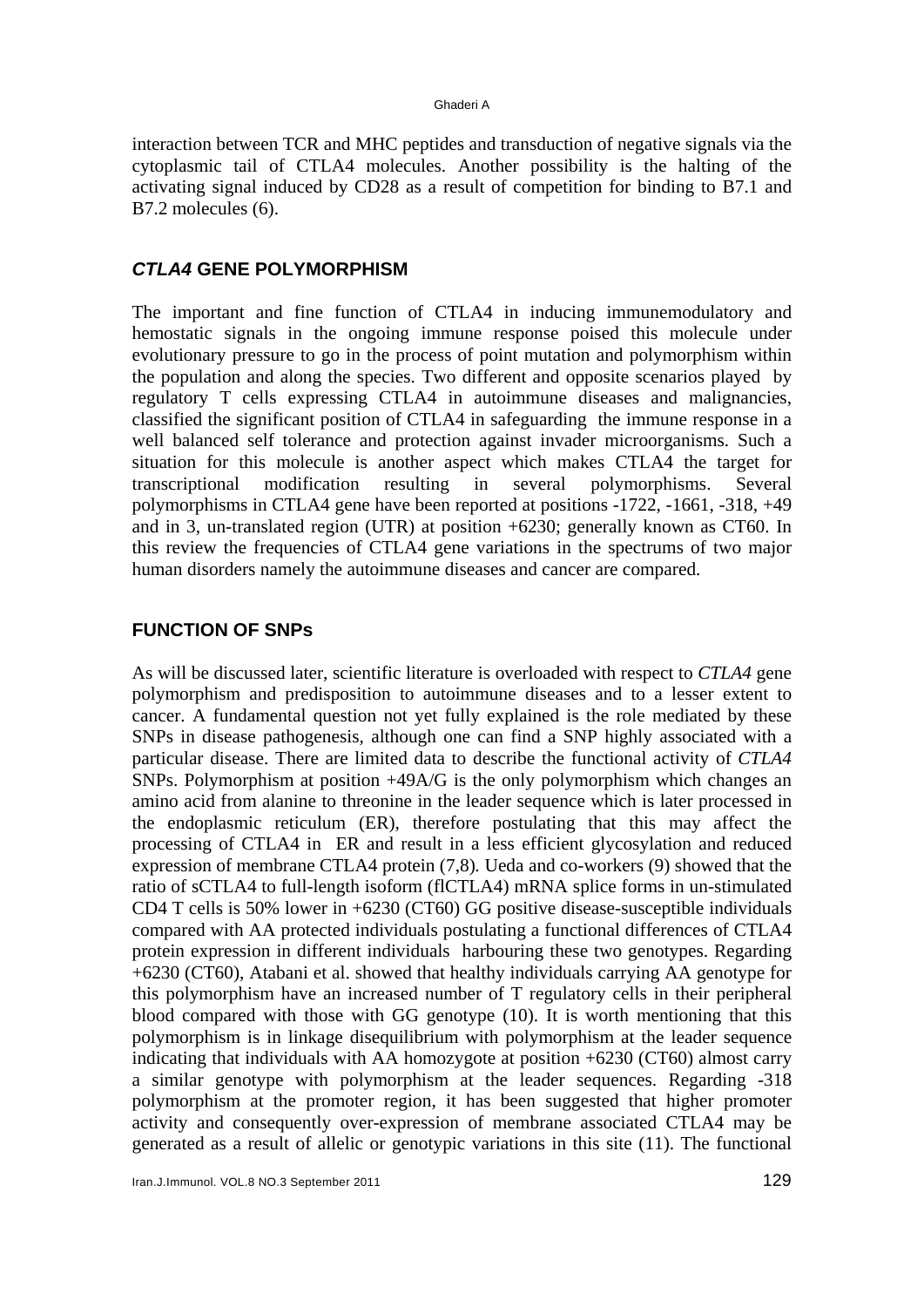interaction between TCR and MHC peptides and transduction of negative signals via the cytoplasmic tail of CTLA4 molecules. Another possibility is the halting of the activating signal induced by CD28 as a result of competition for binding to B7.1 and B7.2 molecules (6).

#### *CTLA4* **GENE POLYMORPHISM**

The important and fine function of CTLA4 in inducing immunemodulatory and hemostatic signals in the ongoing immune response poised this molecule under evolutionary pressure to go in the process of point mutation and polymorphism within the population and along the species. Two different and opposite scenarios played by regulatory T cells expressing CTLA4 in autoimmune diseases and malignancies, classified the significant position of CTLA4 in safeguarding the immune response in a well balanced self tolerance and protection against invader microorganisms. Such a situation for this molecule is another aspect which makes CTLA4 the target for transcriptional modification resulting in several polymorphisms. Several polymorphisms in CTLA4 gene have been reported at positions -1722, -1661, -318, +49 and in 3, un-translated region (UTR) at position +6230; generally known as CT60. In this review the frequencies of CTLA4 gene variations in the spectrums of two major human disorders namely the autoimmune diseases and cancer are compared.

#### **FUNCTION OF SNPs**

As will be discussed later, scientific literature is overloaded with respect to *CTLA4* gene polymorphism and predisposition to autoimmune diseases and to a lesser extent to cancer. A fundamental question not yet fully explained is the role mediated by these SNPs in disease pathogenesis, although one can find a SNP highly associated with a particular disease. There are limited data to describe the functional activity of *CTLA4* SNPs. Polymorphism at position +49A/G is the only polymorphism which changes an amino acid from alanine to threonine in the leader sequence which is later processed in the endoplasmic reticulum (ER), therefore postulating that this may affect the processing of CTLA4 in ER and result in a less efficient glycosylation and reduced expression of membrane CTLA4 protein (7,8)*.* Ueda and co-workers (9) showed that the ratio of sCTLA4 to full-length isoform (flCTLA4) mRNA splice forms in un-stimulated CD4 T cells is 50% lower in +6230 (CT60) GG positive disease-susceptible individuals compared with AA protected individuals postulating a functional differences of CTLA4 protein expression in different individuals harbouring these two genotypes. Regarding +6230 (CT60), Atabani et al. showed that healthy individuals carrying AA genotype for this polymorphism have an increased number of T regulatory cells in their peripheral blood compared with those with GG genotype (10) . It is worth mentioning that this polymorphism is in linkage disequilibrium with polymorphism at the leader sequence indicating that individuals with AA homozygote at position +6230 (CT60) almost carry a similar genotype with polymorphism at the leader sequences. Regarding -318 polymorphism at the promoter region, it has been suggested that higher promoter activity and consequently over-expression of membrane associated CTLA4 may be generated as a result of allelic or genotypic variations in this site (11). The functional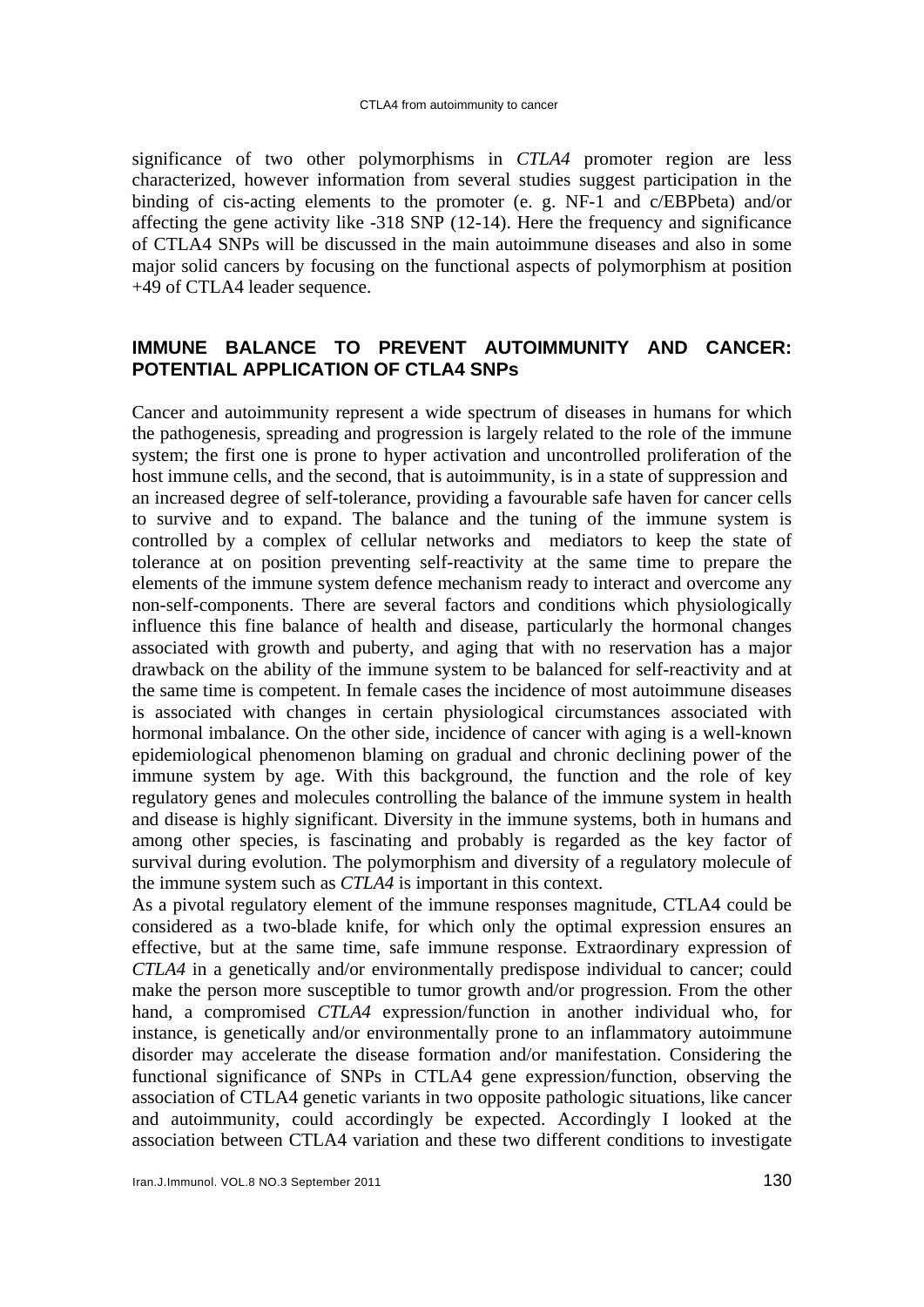significance of two other polymorphisms in *CTLA4* promoter region are less characterized, however information from several studies suggest participation in the binding of cis-acting elements to the promoter (e. g. NF-1 and c/EBPbeta) and/or affecting the gene activity like -318 SNP (12-14). Here the frequency and significance of CTLA4 SNPs will be discussed in the main autoimmune diseases and also in some major solid cancers by focusing on the functional aspects of polymorphism at position +49 of CTLA4 leader sequence.

### **IMMUNE BALANCE TO PREVENT AUTOIMMUNITY AND CANCER: POTENTIAL APPLICATION OF CTLA4 SNPs**

Cancer and autoimmunity represent a wide spectrum of diseases in humans for which the pathogenesis, spreading and progression is largely related to the role of the immune system; the first one is prone to hyper activation and uncontrolled proliferation of the host immune cells, and the second, that is autoimmunity, is in a state of suppression and an increased degree of self-tolerance, providing a favourable safe haven for cancer cells to survive and to expand. The balance and the tuning of the immune system is controlled by a complex of cellular networks and mediators to keep the state of tolerance at on position preventing self-reactivity at the same time to prepare the elements of the immune system defence mechanism ready to interact and overcome any non-self-components. There are several factors and conditions which physiologically influence this fine balance of health and disease, particularly the hormonal changes associated with growth and puberty, and aging that with no reservation has a major drawback on the ability of the immune system to be balanced for self-reactivity and at the same time is competent. In female cases the incidence of most autoimmune diseases is associated with changes in certain physiological circumstances associated with hormonal imbalance. On the other side, incidence of cancer with aging is a well-known epidemiological phenomenon blaming on gradual and chronic declining power of the immune system by age. With this background, the function and the role of key regulatory genes and molecules controlling the balance of the immune system in health and disease is highly significant. Diversity in the immune systems, both in humans and among other species, is fascinating and probably is regarded as the key factor of survival during evolution. The polymorphism and diversity of a regulatory molecule of the immune system such as *CTLA4* is important in this context.

As a pivotal regulatory element of the immune responses magnitude, CTLA4 could be considered as a two-blade knife, for which only the optimal expression ensures an effective, but at the same time, safe immune response. Extraordinary expression of *CTLA4* in a genetically and/or environmentally predispose individual to cancer; could make the person more susceptible to tumor growth and/or progression. From the other hand, a compromised *CTLA4* expression/function in another individual who, for instance, is genetically and/or environmentally prone to an inflammatory autoimmune disorder may accelerate the disease formation and/or manifestation. Considering the functional significance of SNPs in CTLA4 gene expression/function, observing the association of CTLA4 genetic variants in two opposite pathologic situations, like cancer and autoimmunity, could accordingly be expected. Accordingly I looked at the association between CTLA4 variation and these two different conditions to investigate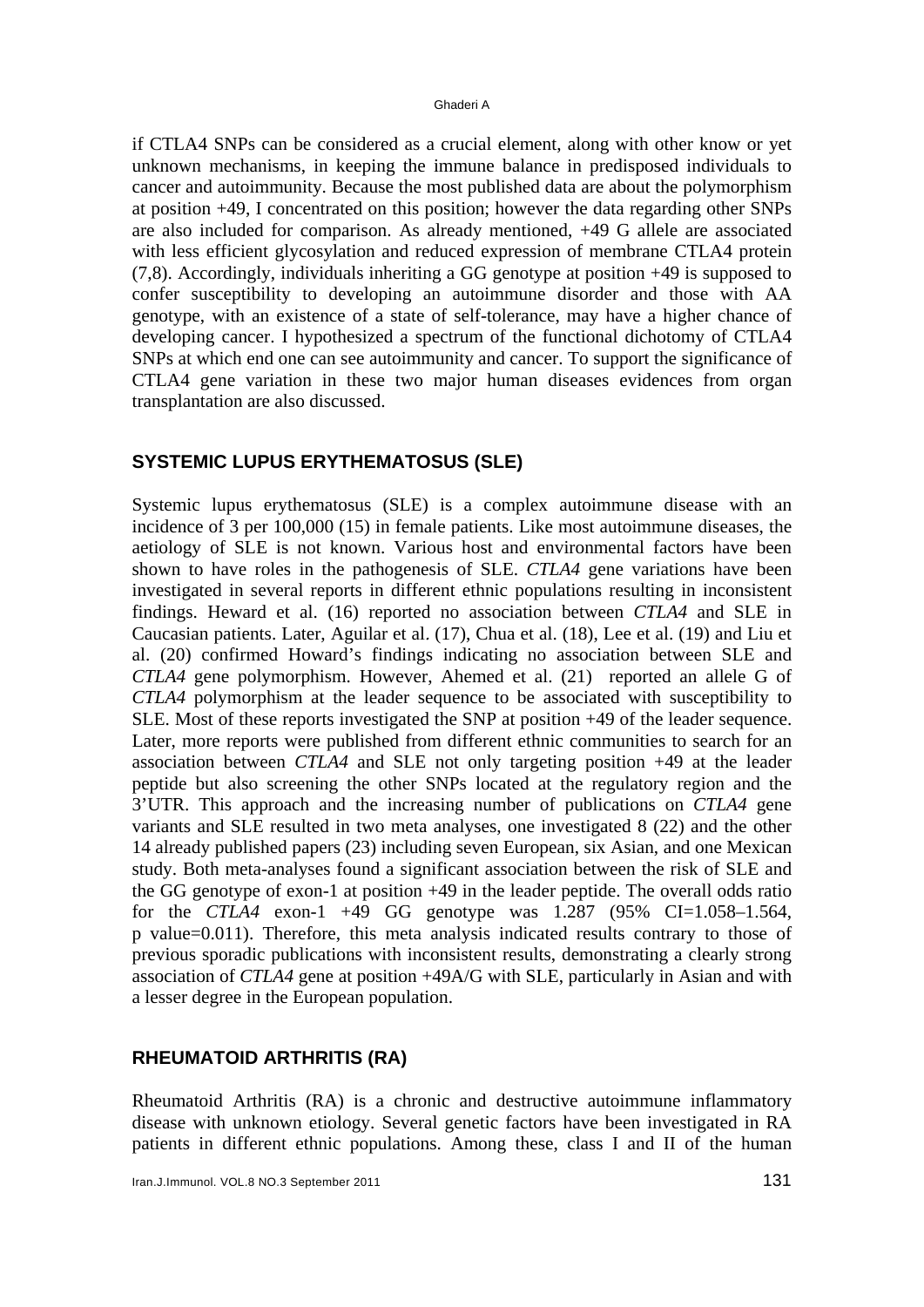if CTLA4 SNPs can be considered as a crucial element, along with other know or yet unknown mechanisms, in keeping the immune balance in predisposed individuals to cancer and autoimmunity. Because the most published data are about the polymorphism at position +49, I concentrated on this position; however the data regarding other SNPs are also included for comparison. As already mentioned, +49 G allele are associated with less efficient glycosylation and reduced expression of membrane CTLA4 protein (7,8). Accordingly, individuals inheriting a GG genotype at position +49 is supposed to confer susceptibility to developing an autoimmune disorder and those with AA genotype, with an existence of a state of self-tolerance, may have a higher chance of developing cancer. I hypothesized a spectrum of the functional dichotomy of CTLA4 SNPs at which end one can see autoimmunity and cancer. To support the significance of CTLA4 gene variation in these two major human diseases evidences from organ transplantation are also discussed.

#### **SYSTEMIC LUPUS ERYTHEMATOSUS (SLE)**

Systemic lupus erythematosus (SLE) is a complex autoimmune disease with an incidence of 3 per 100,000 (15) in female patients. Like most autoimmune diseases, the aetiology of SLE is not known. Various host and environmental factors have been shown to have roles in the pathogenesis of SLE. *CTLA4* gene variations have been investigated in several reports in different ethnic populations resulting in inconsistent findings. Heward et al. (16) reported no association between *CTLA4* and SLE in Caucasian patients. Later, Aguilar et al. (17), Chua et al. (18), Lee et al. (19) and Liu et al. (20) confirmed Howard's findings indicating no association between SLE and *CTLA4* gene polymorphism. However, Ahemed et al. (21) reported an allele G of *CTLA4* polymorphism at the leader sequence to be associated with susceptibility to SLE. Most of these reports investigated the SNP at position +49 of the leader sequence. Later, more reports were published from different ethnic communities to search for an association between *CTLA4* and SLE not only targeting position +49 at the leader peptide but also screening the other SNPs located at the regulatory region and the 3'UTR. This approach and the increasing number of publications on *CTLA4* gene variants and SLE resulted in two meta analyses, one investigated 8 (22) and the other 14 already published papers (23) including seven European, six Asian, and one Mexican study. Both meta-analyses found a significant association between the risk of SLE and the GG genotype of exon-1 at position +49 in the leader peptide. The overall odds ratio for the *CTLA4* exon-1 +49 GG genotype was 1.287 (95% CI=1.058–1.564, p value=0.011). Therefore, this meta analysis indicated results contrary to those of previous sporadic publications with inconsistent results, demonstrating a clearly strong association of *CTLA4* gene at position +49A/G with SLE, particularly in Asian and with a lesser degree in the European population.

#### **RHEUMATOID ARTHRITIS (RA)**

Rheumatoid Arthritis (RA) is a chronic and destructive autoimmune inflammatory disease with unknown etiology. Several genetic factors have been investigated in RA patients in different ethnic populations. Among these, class I and II of the human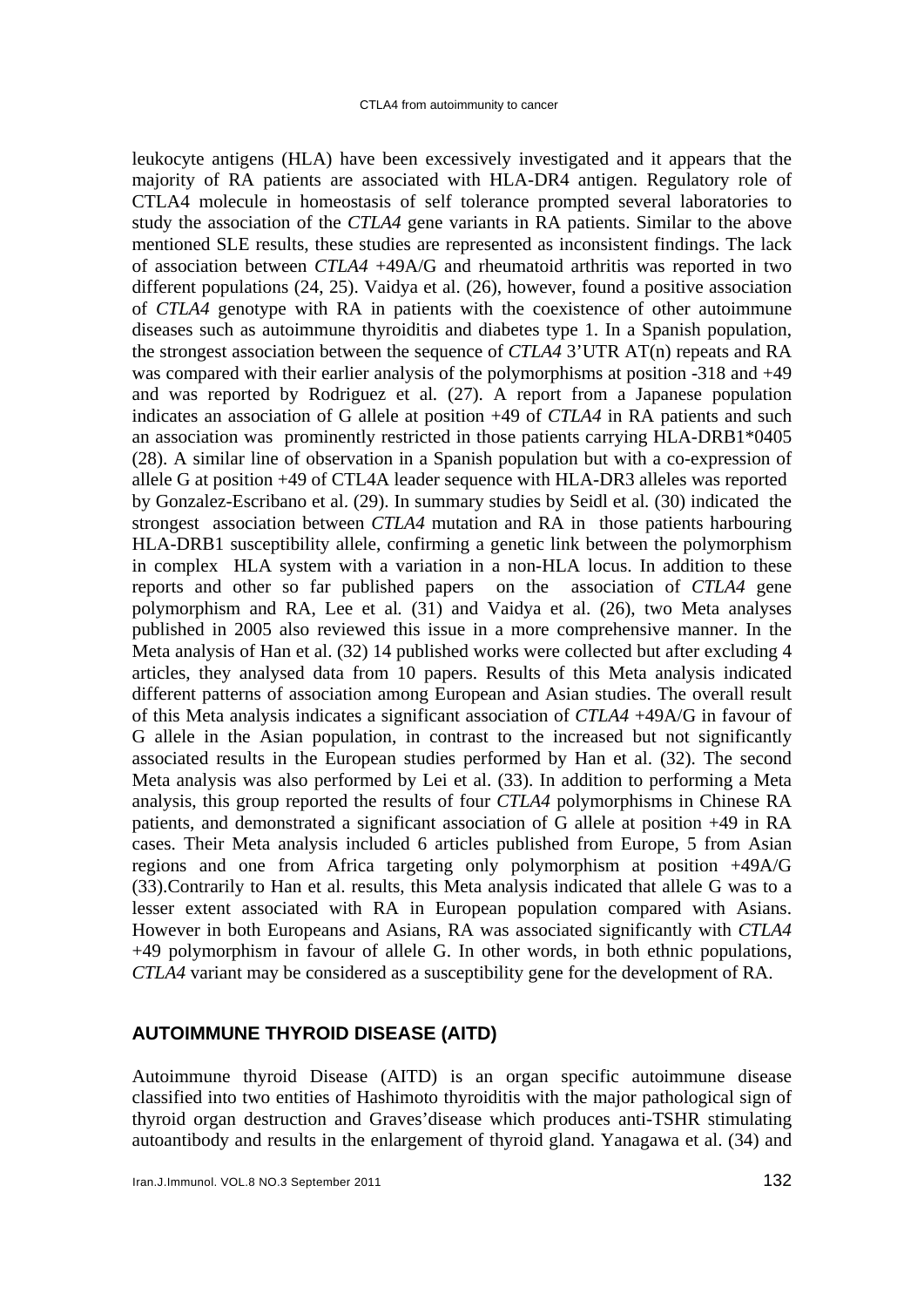leukocyte antigens (HLA) have been excessively investigated and it appears that the majority of RA patients are associated with HLA-DR4 antigen. Regulatory role of CTLA4 molecule in homeostasis of self tolerance prompted several laboratories to study the association of the *CTLA4* gene variants in RA patients. Similar to the above mentioned SLE results, these studies are represented as inconsistent findings. The lack of association between *CTLA4* +49A/G and rheumatoid arthritis was reported in two different populations (24, 25). Vaidya et al. (26), however, found a positive association of *CTLA4* genotype with RA in patients with the coexistence of other autoimmune diseases such as autoimmune thyroiditis and diabetes type 1. In a Spanish population, the strongest association between the sequence of *CTLA4* 3'UTR AT(n) repeats and RA was compared with their earlier analysis of the polymorphisms at position -318 and +49 and was reported by Rodriguez et al*.* (27). A report from a Japanese population indicates an association of G allele at position +49 of *CTLA4* in RA patients and such an association was prominently restricted in those patients carrying HLA-DRB1\*0405 (28) . A similar line of observation in a Spanish population but with a co-expression of allele G at position +49 of CTL4A leader sequence with HLA-DR3 alleles was reported by Gonzalez-Escribano et al. (29). In summary studies by Seidl et al*.* (30) indicated the strongest association between *CTLA4* mutation and RA in those patients harbouring HLA-DRB1 susceptibility allele, confirming a genetic link between the polymorphism in complex HLA system with a variation in a non-HLA locus. In addition to these reports and other so far published papers on the association of *CTLA4* gene polymorphism and RA, Lee et al*.* (31) and Vaidya et al. (26), two Meta analyses published in 2005 also reviewed this issue in a more comprehensive manner. In the Meta analysis of Han et al. (32) 14 published works were collected but after excluding 4 articles, they analysed data from 10 papers. Results of this Meta analysis indicated different patterns of association among European and Asian studies. The overall result of this Meta analysis indicates a significant association of *CTLA4* +49A/G in favour of G allele in the Asian population, in contrast to the increased but not significantly associated results in the European studies performed by Han et al. (32). The second Meta analysis was also performed by Lei et al. (33). In addition to performing a Meta analysis, this group reported the results of four *CTLA4* polymorphisms in Chinese RA patients, and demonstrated a significant association of G allele at position +49 in RA cases. Their Meta analysis included 6 articles published from Europe, 5 from Asian regions and one from Africa targeting only polymorphism at position +49A/G (33).Contrarily to Han et al. results, this Meta analysis indicated that allele G was to a lesser extent associated with RA in European population compared with Asians. However in both Europeans and Asians, RA was associated significantly with *CTLA4* +49 polymorphism in favour of allele G. In other words, in both ethnic populations, *CTLA4* variant may be considered as a susceptibility gene for the development of RA.

### **AUTOIMMUNE THYROID DISEASE (AITD)**

Autoimmune thyroid Disease (AITD) is an organ specific autoimmune disease classified into two entities of Hashimoto thyroiditis with the major pathological sign of thyroid organ destruction and Graves'disease which produces anti-TSHR stimulating autoantibody and results in the enlargement of thyroid gland. Yanagawa et al. (34) and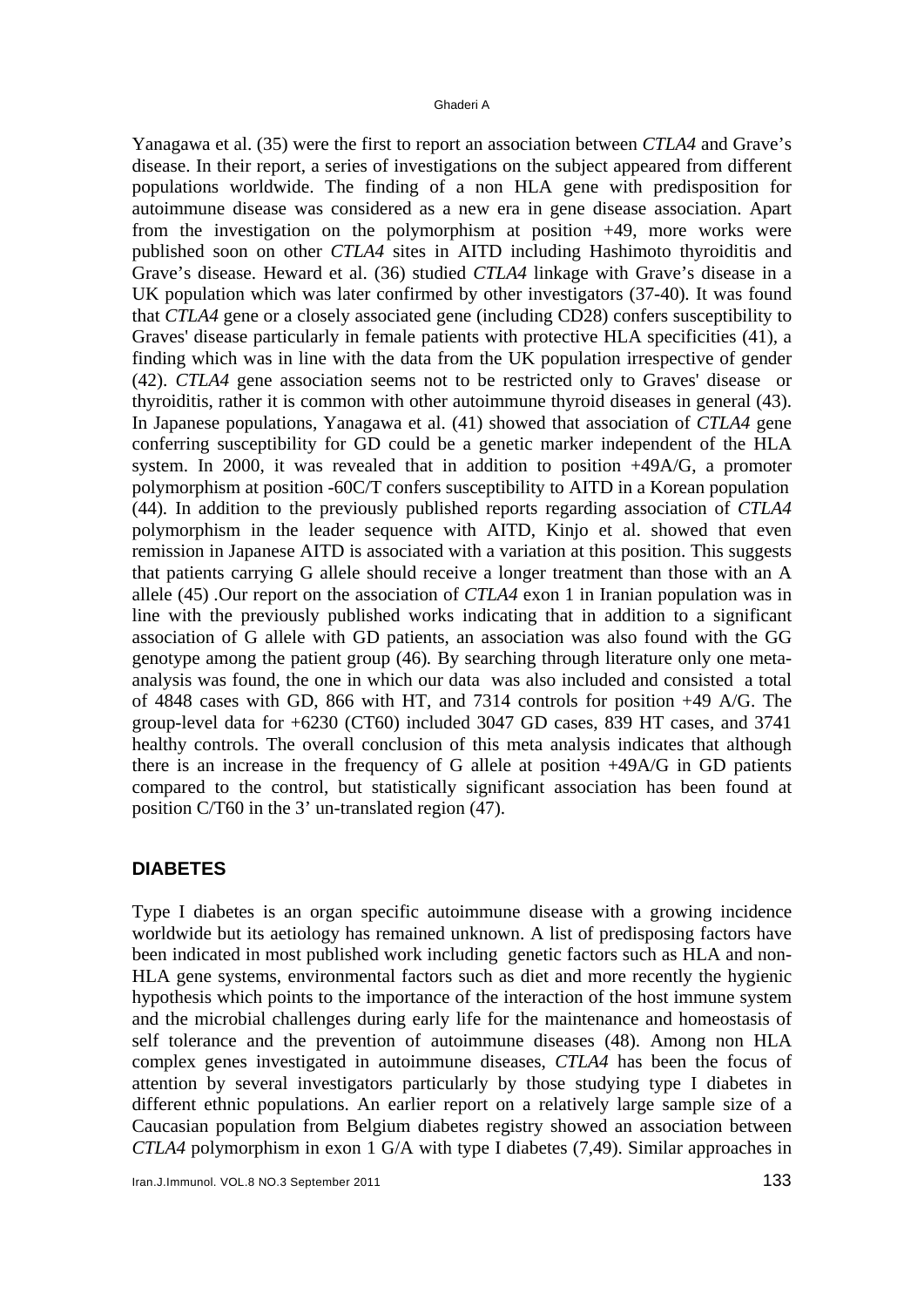Yanagawa et al. (35) were the first to report an association between *CTLA4* and Grave's disease. In their report, a series of investigations on the subject appeared from different populations worldwide. The finding of a non HLA gene with predisposition for autoimmune disease was considered as a new era in gene disease association. Apart from the investigation on the polymorphism at position +49, more works were published soon on other *CTLA4* sites in AITD including Hashimoto thyroiditis and Grave's disease. Heward et al. (36) studied *CTLA4* linkage with Grave's disease in a UK population which was later confirmed by other investigators (37-40)*.* It was found that *CTLA4* gene or a closely associated gene (including CD28) confers susceptibility to Graves' disease particularly in female patients with protective HLA specificities (41)*,* a finding which was in line with the data from the UK population irrespective of gender (42). *CTLA4* gene association seems not to be restricted only to Graves' disease or thyroiditis, rather it is common with other autoimmune thyroid diseases in general (43). In Japanese populations, Yanagawa et al. (41) showed that association of *CTLA4* gene conferring susceptibility for GD could be a genetic marker independent of the HLA system. In 2000, it was revealed that in addition to position +49A/G, a promoter polymorphism at position -60C/T confers susceptibility to AITD in a Korean population (44)*.* In addition to the previously published reports regarding association of *CTLA4* polymorphism in the leader sequence with AITD, Kinjo et al. showed that even remission in Japanese AITD is associated with a variation at this position. This suggests that patients carrying G allele should receive a longer treatment than those with an A allele (45) *.*Our report on the association of *CTLA4* exon 1 in Iranian population was in line with the previously published works indicating that in addition to a significant association of G allele with GD patients, an association was also found with the GG genotype among the patient group (46)*.* By searching through literature only one metaanalysis was found, the one in which our data was also included and consisted a total of 4848 cases with GD, 866 with HT, and 7314 controls for position +49 A/G. The group-level data for +6230 (CT60) included 3047 GD cases, 839 HT cases, and 3741 healthy controls. The overall conclusion of this meta analysis indicates that although there is an increase in the frequency of G allele at position +49A/G in GD patients compared to the control, but statistically significant association has been found at position C/T60 in the 3' un-translated region (47).

#### **DIABETES**

Type I diabetes is an organ specific autoimmune disease with a growing incidence worldwide but its aetiology has remained unknown. A list of predisposing factors have been indicated in most published work including genetic factors such as HLA and non-HLA gene systems, environmental factors such as diet and more recently the hygienic hypothesis which points to the importance of the interaction of the host immune system and the microbial challenges during early life for the maintenance and homeostasis of self tolerance and the prevention of autoimmune diseases (48). Among non HLA complex genes investigated in autoimmune diseases, *CTLA4* has been the focus of attention by several investigators particularly by those studying type I diabetes in different ethnic populations. An earlier report on a relatively large sample size of a Caucasian population from Belgium diabetes registry showed an association between *CTLA4* polymorphism in exon 1 G/A with type I diabetes (7,49). Similar approaches in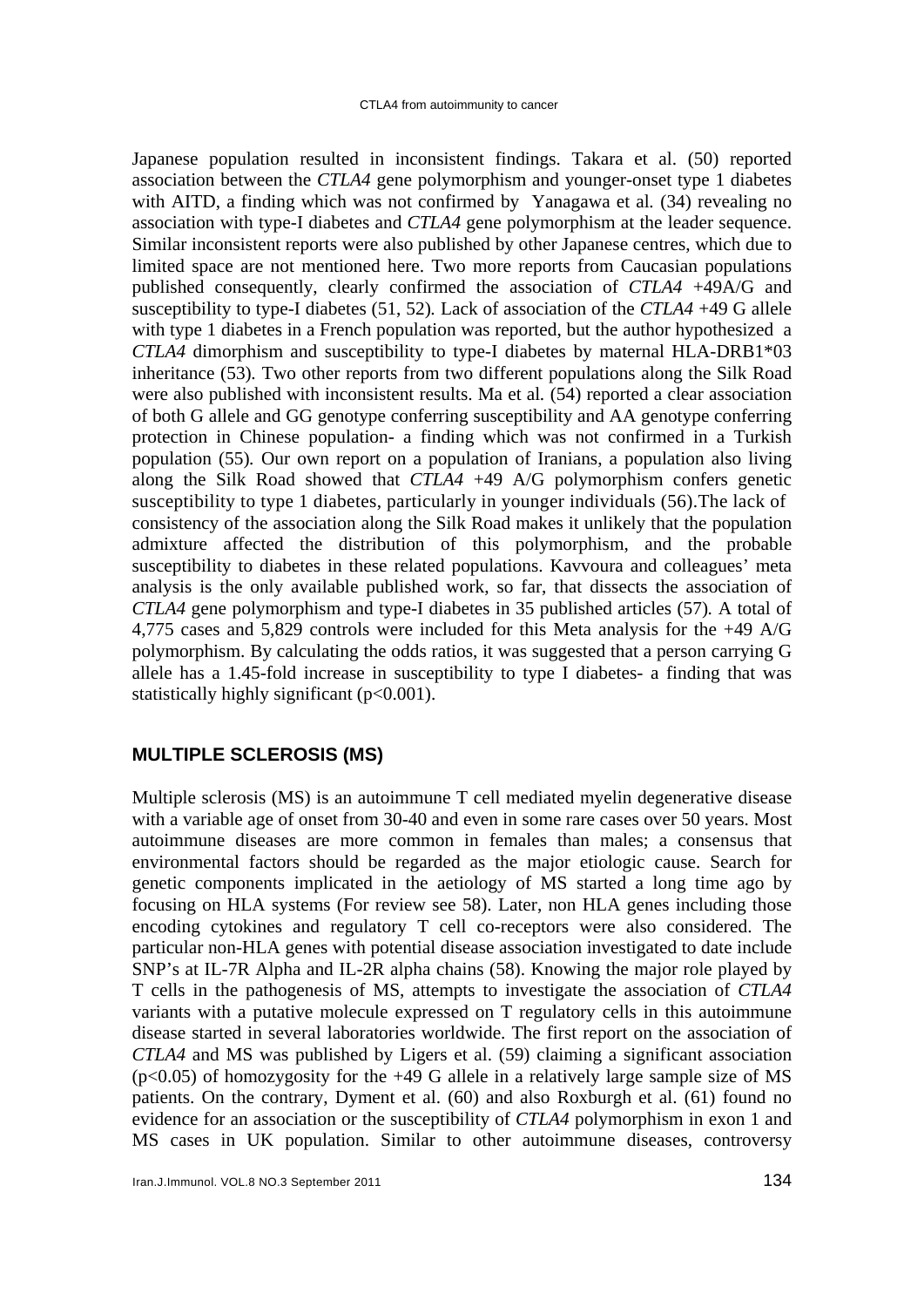Japanese population resulted in inconsistent findings. Takara et al. (50) reported association between the *CTLA4* gene polymorphism and younger-onset type 1 diabetes with AITD, a finding which was not confirmed by Yanagawa et al*.* (34) revealing no association with type-I diabetes and *CTLA4* gene polymorphism at the leader sequence. Similar inconsistent reports were also published by other Japanese centres, which due to limited space are not mentioned here. Two more reports from Caucasian populations published consequently, clearly confirmed the association of *CTLA4* +49A/G and susceptibility to type-I diabetes (51, 52)*.* Lack of association of the *CTLA4* +49 G allele with type 1 diabetes in a French population was reported, but the author hypothesized a *CTLA4* dimorphism and susceptibility to type-I diabetes by maternal HLA-DRB1\*03 inheritance (53)*.* Two other reports from two different populations along the Silk Road were also published with inconsistent results. Ma et al*.* (54) reported a clear association of both G allele and GG genotype conferring susceptibility and AA genotype conferring protection in Chinese population- a finding which was not confirmed in a Turkish population (55)*.* Our own report on a population of Iranians, a population also living along the Silk Road showed that *CTLA4* +49 A/G polymorphism confers genetic susceptibility to type 1 diabetes, particularly in younger individuals (56).The lack of consistency of the association along the Silk Road makes it unlikely that the population admixture affected the distribution of this polymorphism, and the probable susceptibility to diabetes in these related populations. Kavvoura and colleagues' meta analysis is the only available published work, so far, that dissects the association of *CTLA4* gene polymorphism and type-I diabetes in 35 published articles (57)*.* A total of 4,775 cases and 5,829 controls were included for this Meta analysis for the +49 A/G polymorphism. By calculating the odds ratios, it was suggested that a person carrying G allele has a 1.45-fold increase in susceptibility to type I diabetes- a finding that was statistically highly significant  $(p<0.001)$ .

#### **MULTIPLE SCLEROSIS (MS)**

Multiple sclerosis (MS) is an autoimmune T cell mediated myelin degenerative disease with a variable age of onset from 30-40 and even in some rare cases over 50 years. Most autoimmune diseases are more common in females than males; a consensus that environmental factors should be regarded as the major etiologic cause. Search for genetic components implicated in the aetiology of MS started a long time ago by focusing on HLA systems (For review see 58). Later, non HLA genes including those encoding cytokines and regulatory T cell co-receptors were also considered. The particular non-HLA genes with potential disease association investigated to date include SNP's at IL-7R Alpha and IL-2R alpha chains (58). Knowing the major role played by T cells in the pathogenesis of MS, attempts to investigate the association of *CTLA4* variants with a putative molecule expressed on T regulatory cells in this autoimmune disease started in several laboratories worldwide. The first report on the association of *CTLA4* and MS was published by Ligers et al. (59) claiming a significant association  $(p<0.05)$  of homozygosity for the  $+49$  G allele in a relatively large sample size of MS patients. On the contrary, Dyment et al. (60) and also Roxburgh et al. (61) found no evidence for an association or the susceptibility of *CTLA4* polymorphism in exon 1 and MS cases in UK population. Similar to other autoimmune diseases, controversy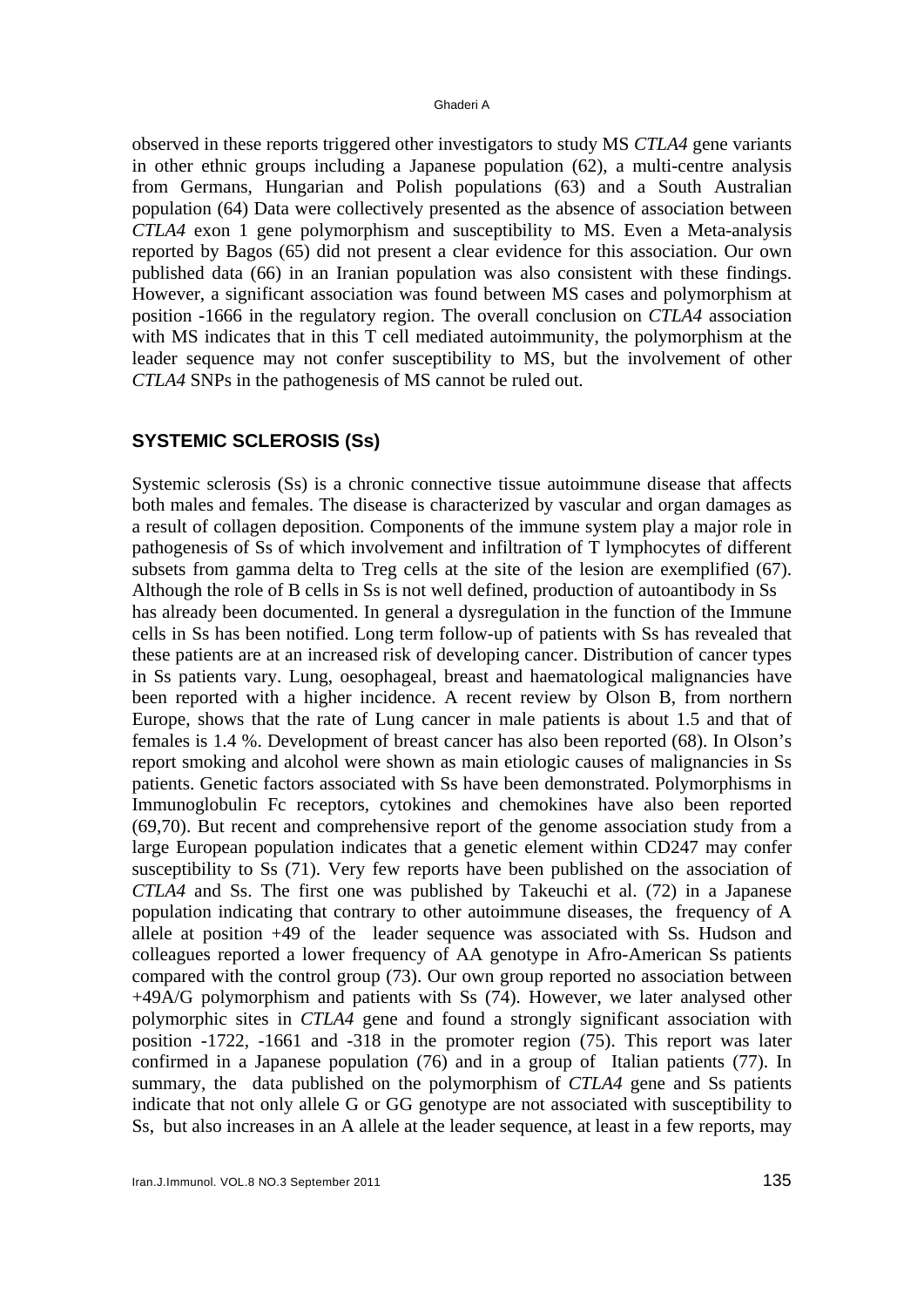#### Ghaderi A

observed in these reports triggered other investigators to study MS *CTLA4* gene variants in other ethnic groups including a Japanese population (62), a multi-centre analysis from Germans, Hungarian and Polish populations (63) and a South Australian population (64) Data were collectively presented as the absence of association between *CTLA4* exon 1 gene polymorphism and susceptibility to MS. Even a Meta-analysis reported by Bagos (65) did not present a clear evidence for this association. Our own published data (66) in an Iranian population was also consistent with these findings. However, a significant association was found between MS cases and polymorphism at position -1666 in the regulatory region. The overall conclusion on *CTLA4* association with MS indicates that in this T cell mediated autoimmunity, the polymorphism at the leader sequence may not confer susceptibility to MS, but the involvement of other *CTLA4* SNPs in the pathogenesis of MS cannot be ruled out.

#### **SYSTEMIC SCLEROSIS (Ss)**

Systemic sclerosis (Ss) is a chronic connective tissue autoimmune disease that affects both males and females. The disease is characterized by vascular and organ damages as a result of collagen deposition. Components of the immune system play a major role in pathogenesis of Ss of which involvement and infiltration of T lymphocytes of different subsets from gamma delta to Treg cells at the site of the lesion are exemplified (67). Although the role of B cells in Ss is not well defined, production of autoantibody in Ss has already been documented. In general a dysregulation in the function of the Immune cells in Ss has been notified. Long term follow-up of patients with Ss has revealed that these patients are at an increased risk of developing cancer. Distribution of cancer types in Ss patients vary. Lung, oesophageal, breast and haematological malignancies have been reported with a higher incidence. A recent review by Olson B, from northern Europe, shows that the rate of Lung cancer in male patients is about 1.5 and that of females is 1.4 %. Development of breast cancer has also been reported (68). In Olson's report smoking and alcohol were shown as main etiologic causes of malignancies in Ss patients. Genetic factors associated with Ss have been demonstrated. Polymorphisms in Immunoglobulin Fc receptors, cytokines and chemokines have also been reported (69,70). But recent and comprehensive report of the genome association study from a large European population indicates that a genetic element within CD247 may confer susceptibility to Ss (71). Very few reports have been published on the association of *CTLA4* and Ss. The first one was published by Takeuchi et al. (72) in a Japanese population indicating that contrary to other autoimmune diseases, the frequency of A allele at position  $+49$  of the leader sequence was associated with Ss. Hudson and colleagues reported a lower frequency of AA genotype in Afro-American Ss patients compared with the control group (73). Our own group reported no association between +49A/G polymorphism and patients with Ss (74). However, we later analysed other polymorphic sites in *CTLA4* gene and found a strongly significant association with position -1722, -1661 and -318 in the promoter region (75). This report was later confirmed in a Japanese population (76) and in a group of Italian patients (77). In summary, the data published on the polymorphism of *CTLA4* gene and Ss patients indicate that not only allele G or GG genotype are not associated with susceptibility to Ss, but also increases in an A allele at the leader sequence, at least in a few reports, may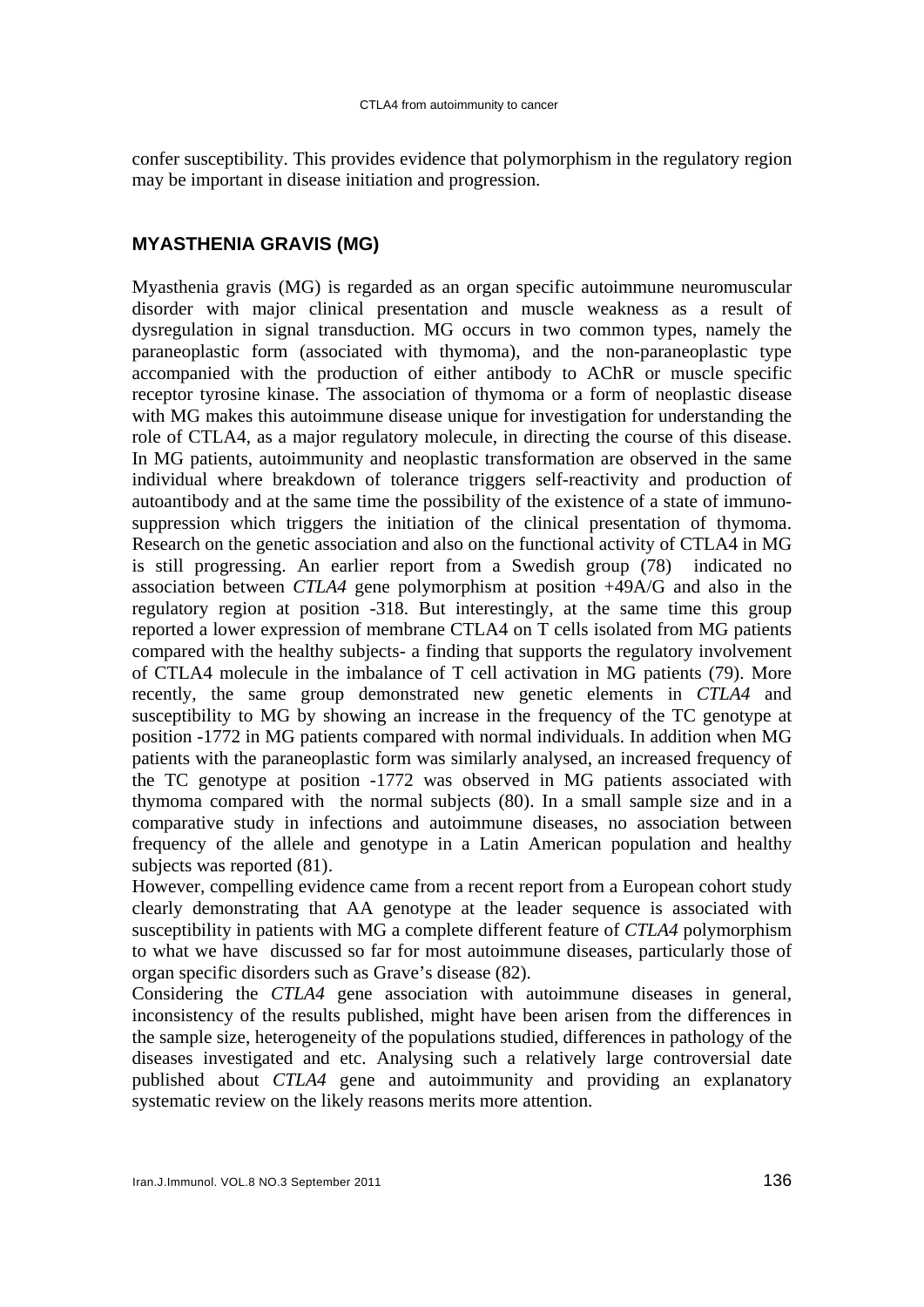confer susceptibility. This provides evidence that polymorphism in the regulatory region may be important in disease initiation and progression.

### **MYASTHENIA GRAVIS (MG)**

Myasthenia gravis (MG) is regarded as an organ specific autoimmune neuromuscular disorder with major clinical presentation and muscle weakness as a result of dysregulation in signal transduction. MG occurs in two common types, namely the paraneoplastic form (associated with thymoma), and the non-paraneoplastic type accompanied with the production of either antibody to AChR or muscle specific receptor tyrosine kinase. The association of thymoma or a form of neoplastic disease with MG makes this autoimmune disease unique for investigation for understanding the role of CTLA4, as a major regulatory molecule, in directing the course of this disease. In MG patients, autoimmunity and neoplastic transformation are observed in the same individual where breakdown of tolerance triggers self-reactivity and production of autoantibody and at the same time the possibility of the existence of a state of immunosuppression which triggers the initiation of the clinical presentation of thymoma. Research on the genetic association and also on the functional activity of CTLA4 in MG is still progressing. An earlier report from a Swedish group (78) indicated no association between *CTLA4* gene polymorphism at position +49A/G and also in the regulatory region at position -318. But interestingly, at the same time this group reported a lower expression of membrane CTLA4 on T cells isolated from MG patients compared with the healthy subjects- a finding that supports the regulatory involvement of CTLA4 molecule in the imbalance of T cell activation in MG patients (79). More recently, the same group demonstrated new genetic elements in *CTLA4* and susceptibility to MG by showing an increase in the frequency of the TC genotype at position -1772 in MG patients compared with normal individuals. In addition when MG patients with the paraneoplastic form was similarly analysed, an increased frequency of the TC genotype at position -1772 was observed in MG patients associated with thymoma compared with the normal subjects (80). In a small sample size and in a comparative study in infections and autoimmune diseases, no association between frequency of the allele and genotype in a Latin American population and healthy subjects was reported (81).

However, compelling evidence came from a recent report from a European cohort study clearly demonstrating that AA genotype at the leader sequence is associated with susceptibility in patients with MG a complete different feature of *CTLA4* polymorphism to what we have discussed so far for most autoimmune diseases, particularly those of organ specific disorders such as Grave's disease (82).

Considering the *CTLA4* gene association with autoimmune diseases in general, inconsistency of the results published, might have been arisen from the differences in the sample size, heterogeneity of the populations studied, differences in pathology of the diseases investigated and etc. Analysing such a relatively large controversial date published about *CTLA4* gene and autoimmunity and providing an explanatory systematic review on the likely reasons merits more attention.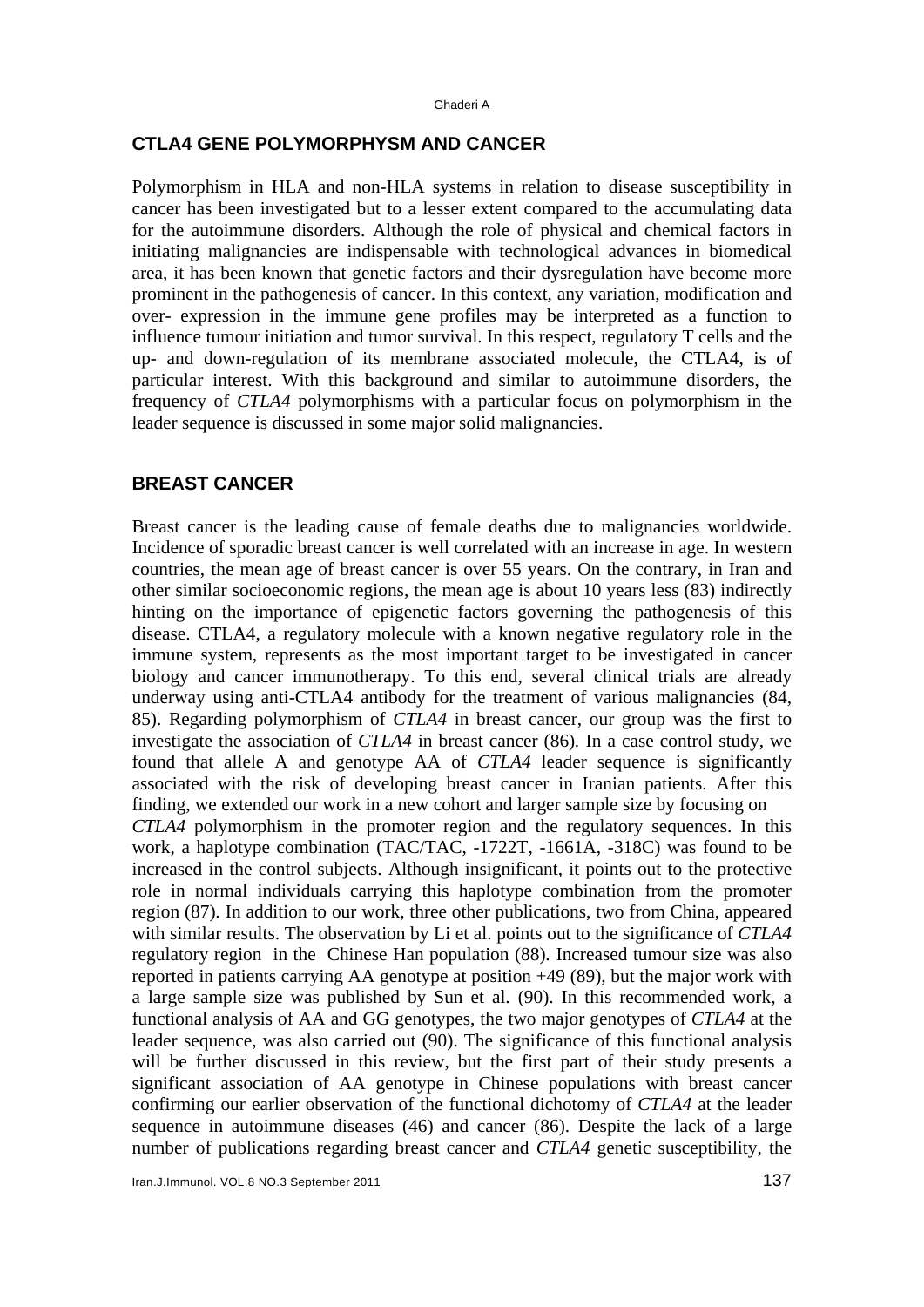#### **CTLA4 GENE POLYMORPHYSM AND CANCER**

Polymorphism in HLA and non-HLA systems in relation to disease susceptibility in cancer has been investigated but to a lesser extent compared to the accumulating data for the autoimmune disorders. Although the role of physical and chemical factors in initiating malignancies are indispensable with technological advances in biomedical area, it has been known that genetic factors and their dysregulation have become more prominent in the pathogenesis of cancer. In this context, any variation, modification and over- expression in the immune gene profiles may be interpreted as a function to influence tumour initiation and tumor survival. In this respect, regulatory T cells and the up- and down-regulation of its membrane associated molecule, the CTLA4, is of particular interest. With this background and similar to autoimmune disorders, the frequency of *CTLA4* polymorphisms with a particular focus on polymorphism in the leader sequence is discussed in some major solid malignancies.

#### **BREAST CANCER**

Breast cancer is the leading cause of female deaths due to malignancies worldwide. Incidence of sporadic breast cancer is well correlated with an increase in age. In western countries, the mean age of breast cancer is over 55 years. On the contrary, in Iran and other similar socioeconomic regions, the mean age is about 10 years less (83) indirectly hinting on the importance of epigenetic factors governing the pathogenesis of this disease. CTLA4, a regulatory molecule with a known negative regulatory role in the immune system, represents as the most important target to be investigated in cancer biology and cancer immunotherapy. To this end, several clinical trials are already underway using anti-CTLA4 antibody for the treatment of various malignancies (84, 85). Regarding polymorphism of *CTLA4* in breast cancer, our group was the first to investigate the association of *CTLA4* in breast cancer (86)*.* In a case control study, we found that allele A and genotype AA of *CTLA4* leader sequence is significantly associated with the risk of developing breast cancer in Iranian patients. After this finding, we extended our work in a new cohort and larger sample size by focusing on *CTLA4* polymorphism in the promoter region and the regulatory sequences. In this work, a haplotype combination (TAC/TAC, -1722T, -1661A, -318C) was found to be increased in the control subjects. Although insignificant, it points out to the protective role in normal individuals carrying this haplotype combination from the promoter region (87)*.* In addition to our work, three other publications, two from China, appeared with similar results. The observation by Li et al. points out to the significance of *CTLA4* regulatory region in the Chinese Han population (88)*.* Increased tumour size was also reported in patients carrying AA genotype at position +49 (89), but the major work with a large sample size was published by Sun et al. (90). In this recommended work, a functional analysis of AA and GG genotypes, the two major genotypes of *CTLA4* at the leader sequence, was also carried out (90). The significance of this functional analysis will be further discussed in this review, but the first part of their study presents a significant association of AA genotype in Chinese populations with breast cancer confirming our earlier observation of the functional dichotomy of *CTLA4* at the leader sequence in autoimmune diseases (46) and cancer (86). Despite the lack of a large number of publications regarding breast cancer and *CTLA4* genetic susceptibility, the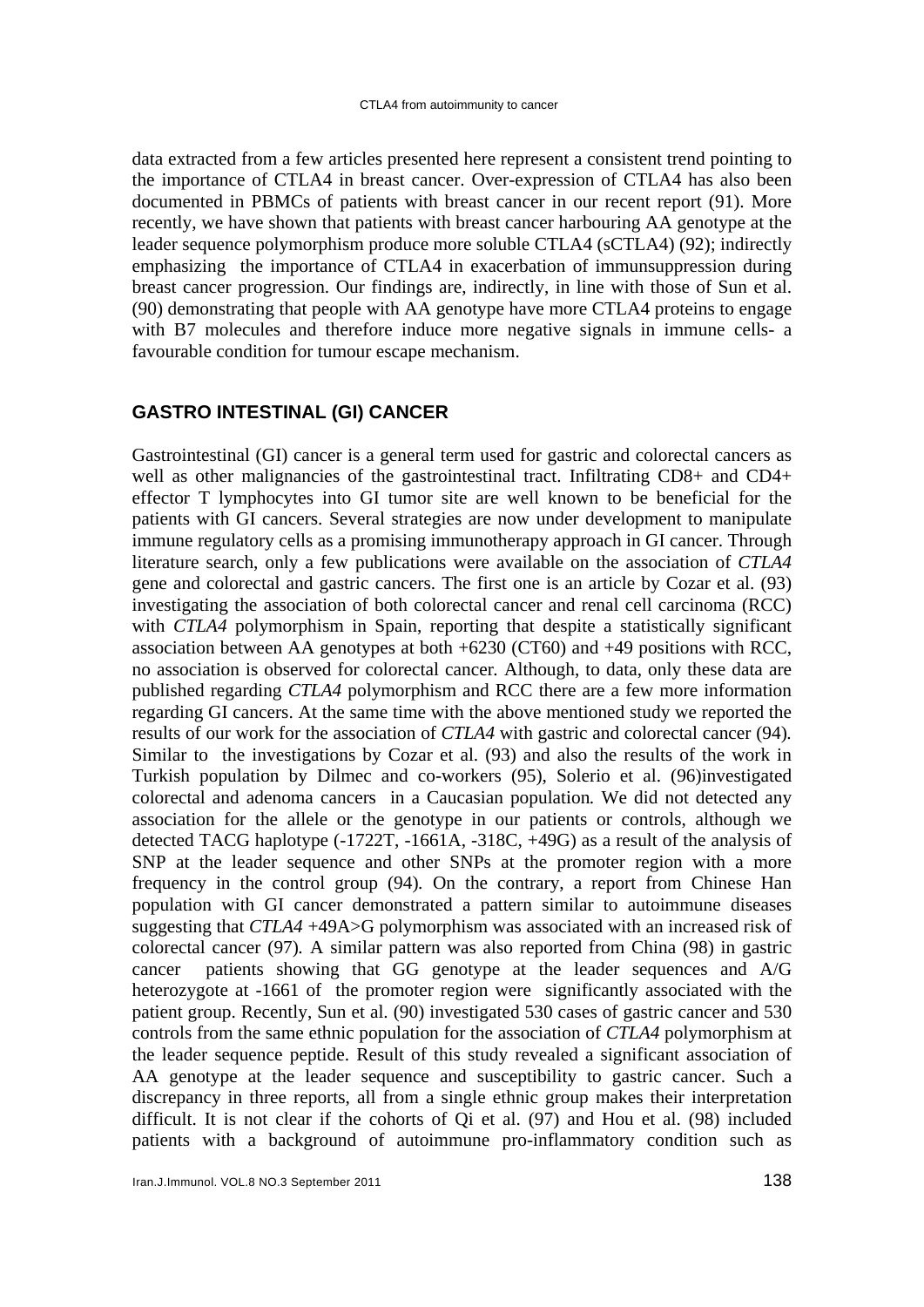data extracted from a few articles presented here represent a consistent trend pointing to the importance of CTLA4 in breast cancer. Over-expression of CTLA4 has also been documented in PBMCs of patients with breast cancer in our recent report (91). More recently, we have shown that patients with breast cancer harbouring AA genotype at the leader sequence polymorphism produce more soluble CTLA4 (sCTLA4) (92); indirectly emphasizing the importance of CTLA4 in exacerbation of immunsuppression during breast cancer progression. Our findings are, indirectly, in line with those of Sun et al. (90) demonstrating that people with AA genotype have more CTLA4 proteins to engage with B7 molecules and therefore induce more negative signals in immune cells- a favourable condition for tumour escape mechanism.

#### **GASTRO INTESTINAL (GI) CANCER**

Gastrointestinal (GI) cancer is a general term used for gastric and colorectal cancers as well as other malignancies of the gastrointestinal tract. Infiltrating CD8+ and CD4+ effector T lymphocytes into GI tumor site are well known to be beneficial for the patients with GI cancers. Several strategies are now under development to manipulate immune regulatory cells as a promising immunotherapy approach in GI cancer. Through literature search, only a few publications were available on the association of *CTLA4* gene and colorectal and gastric cancers. The first one is an article by Cozar et al. (93) investigating the association of both colorectal cancer and renal cell carcinoma (RCC) with *CTLA4* polymorphism in Spain, reporting that despite a statistically significant association between AA genotypes at both  $+6230$  (CT60) and  $+49$  positions with RCC, no association is observed for colorectal cancer*.* Although, to data, only these data are published regarding *CTLA4* polymorphism and RCC there are a few more information regarding GI cancers. At the same time with the above mentioned study we reported the results of our work for the association of *CTLA4* with gastric and colorectal cancer (94)*.* Similar to the investigations by Cozar et al. (93) and also the results of the work in Turkish population by Dilmec and co-workers (95), Solerio et al. (96)investigated colorectal and adenoma cancers in a Caucasian population*.* We did not detected any association for the allele or the genotype in our patients or controls, although we detected TACG haplotype (-1722T, -1661A, -318C, +49G) as a result of the analysis of SNP at the leader sequence and other SNPs at the promoter region with a more frequency in the control group (94)*.* On the contrary, a report from Chinese Han population with GI cancer demonstrated a pattern similar to autoimmune diseases suggesting that *CTLA4* +49A>G polymorphism was associated with an increased risk of colorectal cancer (97)*.* A similar pattern was also reported from China (98) in gastric cancer patients showing that GG genotype at the leader sequences and A/G heterozygote at -1661 of the promoter region were significantly associated with the patient group. Recently, Sun et al. (90) investigated 530 cases of gastric cancer and 530 controls from the same ethnic population for the association of *CTLA4* polymorphism at the leader sequence peptide. Result of this study revealed a significant association of AA genotype at the leader sequence and susceptibility to gastric cancer. Such a discrepancy in three reports, all from a single ethnic group makes their interpretation difficult. It is not clear if the cohorts of Qi et al. (97) and Hou et al. (98) included patients with a background of autoimmune pro-inflammatory condition such as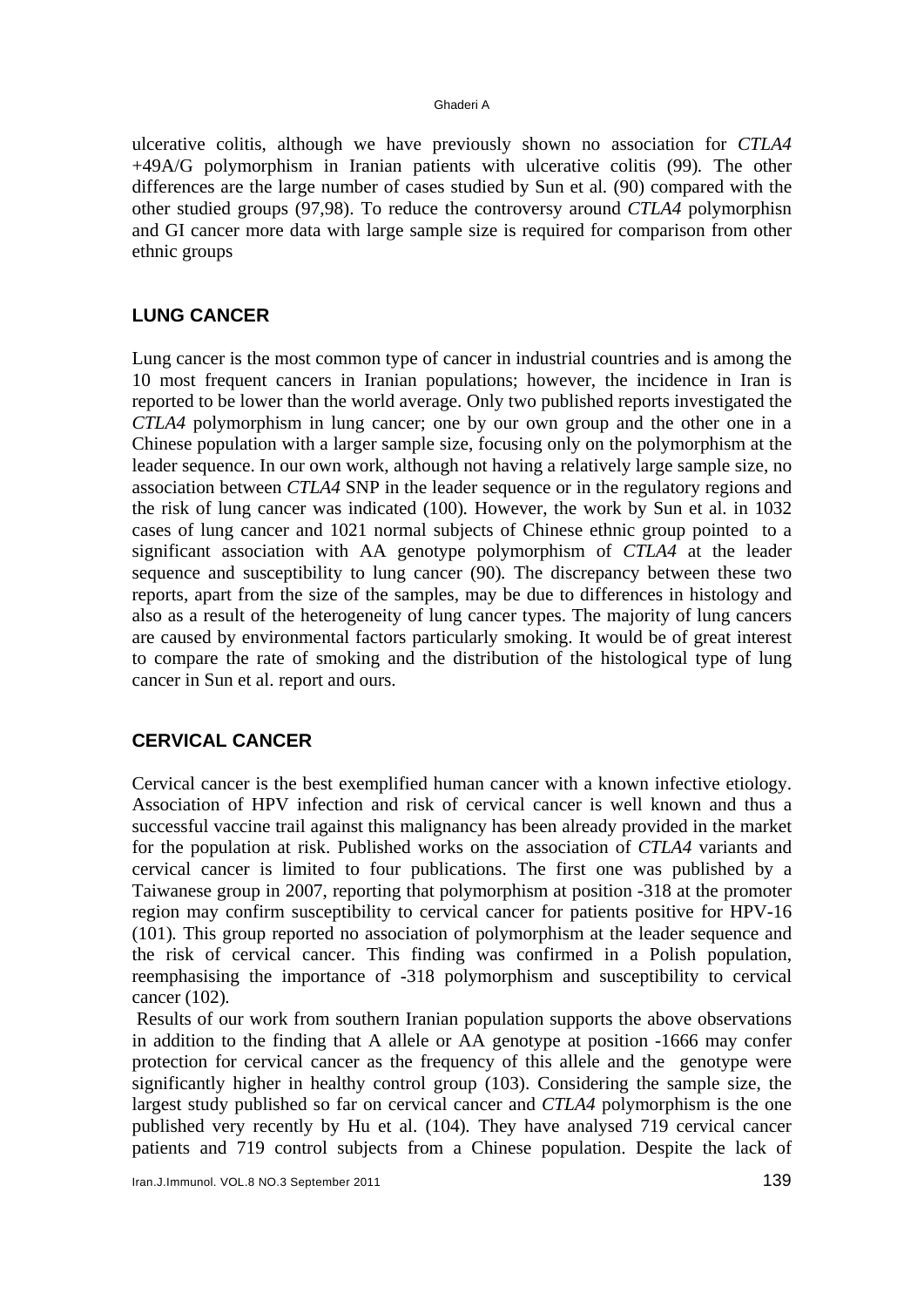#### Ghaderi A

ulcerative colitis, although we have previously shown no association for *CTLA4* +49A/G polymorphism in Iranian patients with ulcerative colitis (99)*.* The other differences are the large number of cases studied by Sun et al*.* (90) compared with the other studied groups (97,98). To reduce the controversy around *CTLA4* polymorphisn and GI cancer more data with large sample size is required for comparison from other ethnic groups

### **LUNG CANCER**

Lung cancer is the most common type of cancer in industrial countries and is among the 10 most frequent cancers in Iranian populations; however, the incidence in Iran is reported to be lower than the world average. Only two published reports investigated the *CTLA4* polymorphism in lung cancer; one by our own group and the other one in a Chinese population with a larger sample size, focusing only on the polymorphism at the leader sequence. In our own work, although not having a relatively large sample size, no association between *CTLA4* SNP in the leader sequence or in the regulatory regions and the risk of lung cancer was indicated (100)*.* However, the work by Sun et al. in 1032 cases of lung cancer and 1021 normal subjects of Chinese ethnic group pointed to a significant association with AA genotype polymorphism of *CTLA4* at the leader sequence and susceptibility to lung cancer (90)*.* The discrepancy between these two reports, apart from the size of the samples, may be due to differences in histology and also as a result of the heterogeneity of lung cancer types. The majority of lung cancers are caused by environmental factors particularly smoking. It would be of great interest to compare the rate of smoking and the distribution of the histological type of lung cancer in Sun et al. report and ours.

### **CERVICAL CANCER**

Cervical cancer is the best exemplified human cancer with a known infective etiology. Association of HPV infection and risk of cervical cancer is well known and thus a successful vaccine trail against this malignancy has been already provided in the market for the population at risk. Published works on the association of *CTLA4* variants and cervical cancer is limited to four publications. The first one was published by a Taiwanese group in 2007, reporting that polymorphism at position -318 at the promoter region may confirm susceptibility to cervical cancer for patients positive for HPV-16 (101)*.* This group reported no association of polymorphism at the leader sequence and the risk of cervical cancer. This finding was confirmed in a Polish population, reemphasising the importance of -318 polymorphism and susceptibility to cervical cancer (102)*.*

 Results of our work from southern Iranian population supports the above observations in addition to the finding that A allele or AA genotype at position -1666 may confer protection for cervical cancer as the frequency of this allele and the genotype were significantly higher in healthy control group (103). Considering the sample size, the largest study published so far on cervical cancer and *CTLA4* polymorphism is the one published very recently by Hu et al. (104)*.* They have analysed 719 cervical cancer patients and 719 control subjects from a Chinese population. Despite the lack of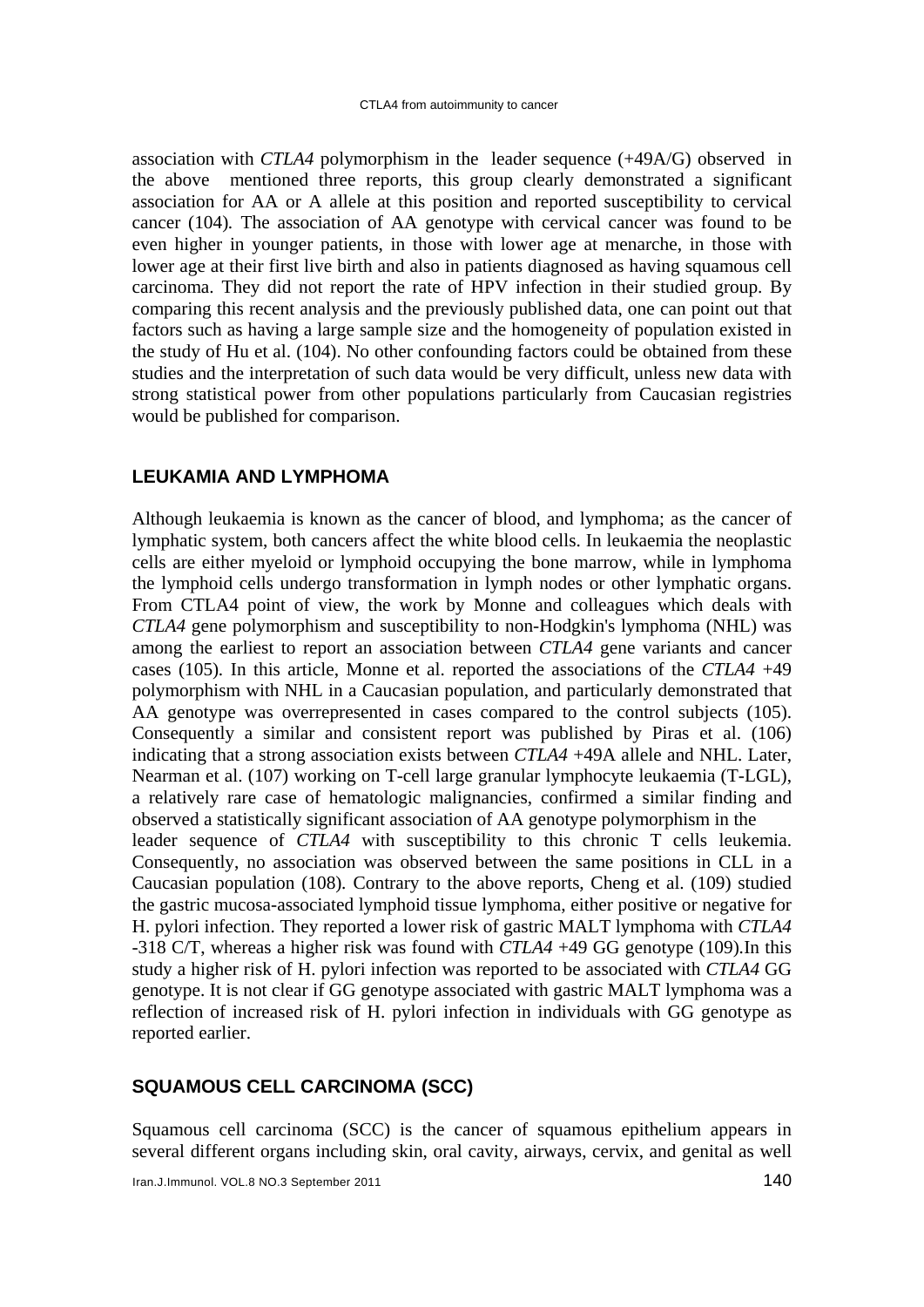association with *CTLA4* polymorphism in the leader sequence (+49A/G) observed in the above mentioned three reports, this group clearly demonstrated a significant association for AA or A allele at this position and reported susceptibility to cervical cancer (104)*.* The association of AA genotype with cervical cancer was found to be even higher in younger patients, in those with lower age at menarche, in those with lower age at their first live birth and also in patients diagnosed as having squamous cell carcinoma. They did not report the rate of HPV infection in their studied group. By comparing this recent analysis and the previously published data, one can point out that factors such as having a large sample size and the homogeneity of population existed in the study of Hu et al. (104). No other confounding factors could be obtained from these studies and the interpretation of such data would be very difficult, unless new data with strong statistical power from other populations particularly from Caucasian registries would be published for comparison.

#### **LEUKAMIA AND LYMPHOMA**

Although leukaemia is known as the cancer of blood, and lymphoma; as the cancer of lymphatic system, both cancers affect the white blood cells. In leukaemia the neoplastic cells are either myeloid or lymphoid occupying the bone marrow, while in lymphoma the lymphoid cells undergo transformation in lymph nodes or other lymphatic organs. From CTLA4 point of view, the work by Monne and colleagues which deals with *CTLA4* gene polymorphism and susceptibility to non-Hodgkin's lymphoma (NHL) was among the earliest to report an association between *CTLA4* gene variants and cancer cases (105)*.* In this article, Monne et al. reported the associations of the *CTLA4* +49 polymorphism with NHL in a Caucasian population, and particularly demonstrated that AA genotype was overrepresented in cases compared to the control subjects (105). Consequently a similar and consistent report was published by Piras et al. (106) indicating that a strong association exists between *CTLA4* +49A allele and NHL. Later, Nearman et al. (107) working on T-cell large granular lymphocyte leukaemia (T-LGL), a relatively rare case of hematologic malignancies, confirmed a similar finding and observed a statistically significant association of AA genotype polymorphism in the leader sequence of *CTLA4* with susceptibility to this chronic T cells leukemia. Consequently, no association was observed between the same positions in CLL in a Caucasian population (108)*.* Contrary to the above reports, Cheng et al. (109) studied the gastric mucosa-associated lymphoid tissue lymphoma, either positive or negative for H. pylori infection. They reported a lower risk of gastric MALT lymphoma with *CTLA4* -318 C/T, whereas a higher risk was found with *CTLA4* +49 GG genotype (109)*.*In this study a higher risk of H. pylori infection was reported to be associated with *CTLA4* GG genotype. It is not clear if GG genotype associated with gastric MALT lymphoma was a reflection of increased risk of H. pylori infection in individuals with GG genotype as reported earlier.

#### **SQUAMOUS CELL CARCINOMA (SCC)**

Squamous cell carcinoma (SCC) is the cancer of squamous epithelium appears in several different organs including skin, oral cavity, airways, cervix, and genital as well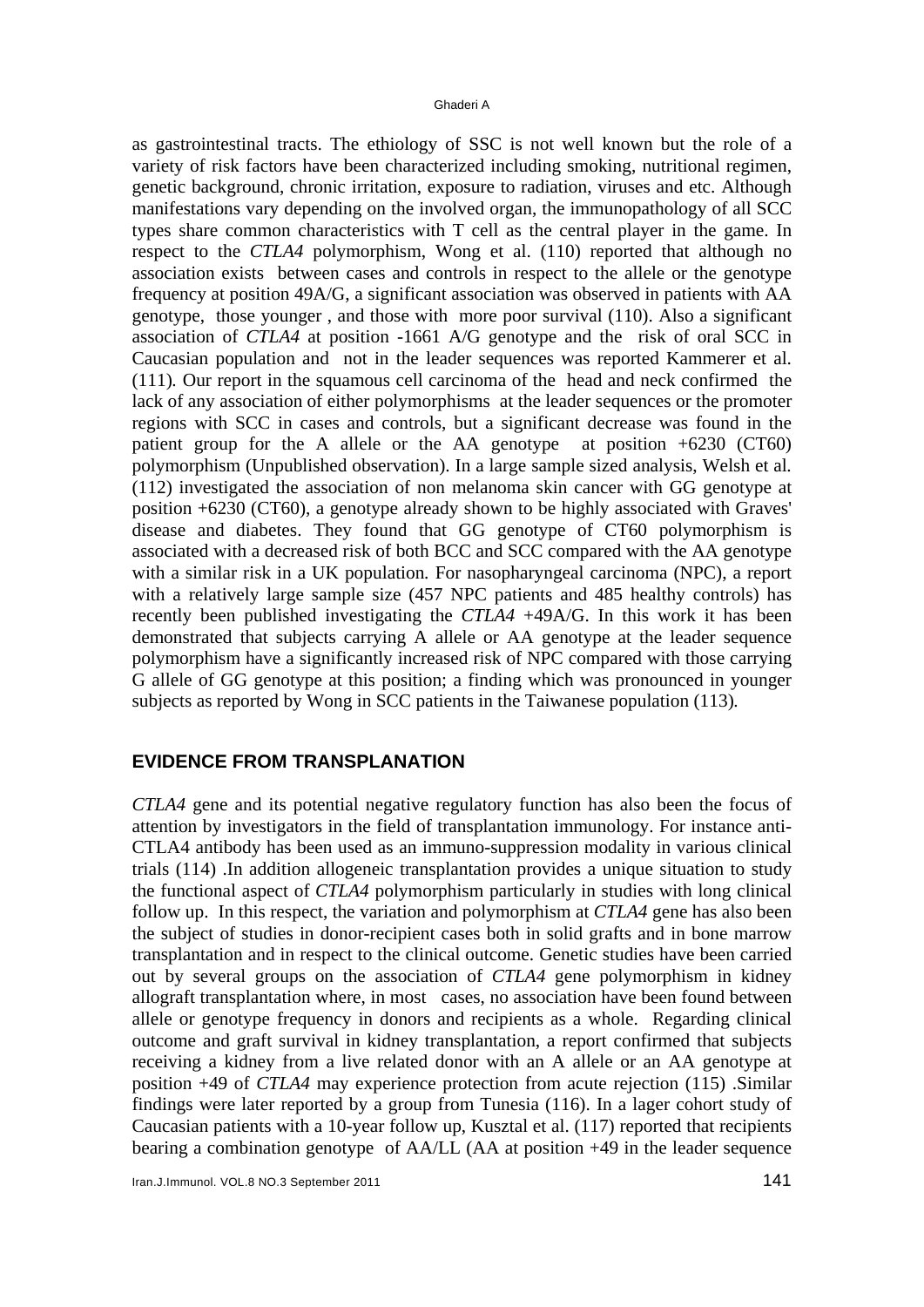as gastrointestinal tracts. The ethiology of SSC is not well known but the role of a variety of risk factors have been characterized including smoking, nutritional regimen, genetic background, chronic irritation, exposure to radiation, viruses and etc. Although manifestations vary depending on the involved organ, the immunopathology of all SCC types share common characteristics with T cell as the central player in the game. In respect to the *CTLA4* polymorphism, Wong et al. (110) reported that although no association exists between cases and controls in respect to the allele or the genotype frequency at position 49A/G, a significant association was observed in patients with AA genotype, those younger , and those with more poor survival (110). Also a significant association of *CTLA4* at position -1661 A/G genotype and the risk of oral SCC in Caucasian population and not in the leader sequences was reported Kammerer et al. (111)*.* Our report in the squamous cell carcinoma of the head and neck confirmed the lack of any association of either polymorphisms at the leader sequences or the promoter regions with SCC in cases and controls, but a significant decrease was found in the patient group for the A allele or the AA genotype at position +6230 (CT60) polymorphism (Unpublished observation). In a large sample sized analysis, Welsh et al*.* (112) investigated the association of non melanoma skin cancer with GG genotype at position +6230 (CT60), a genotype already shown to be highly associated with Graves' disease and diabetes. They found that GG genotype of CT60 polymorphism is associated with a decreased risk of both BCC and SCC compared with the AA genotype with a similar risk in a UK population. For nasopharyngeal carcinoma (NPC), a report with a relatively large sample size (457 NPC patients and 485 healthy controls) has recently been published investigating the *CTLA4* +49A/G. In this work it has been demonstrated that subjects carrying A allele or AA genotype at the leader sequence polymorphism have a significantly increased risk of NPC compared with those carrying G allele of GG genotype at this position; a finding which was pronounced in younger subjects as reported by Wong in SCC patients in the Taiwanese population (113)*.*

### **EVIDENCE FROM TRANSPLANATION**

*CTLA4* gene and its potential negative regulatory function has also been the focus of attention by investigators in the field of transplantation immunology. For instance anti-CTLA4 antibody has been used as an immuno-suppression modality in various clinical trials (114) .In addition allogeneic transplantation provides a unique situation to study the functional aspect of *CTLA4* polymorphism particularly in studies with long clinical follow up. In this respect, the variation and polymorphism at *CTLA4* gene has also been the subject of studies in donor-recipient cases both in solid grafts and in bone marrow transplantation and in respect to the clinical outcome. Genetic studies have been carried out by several groups on the association of *CTLA4* gene polymorphism in kidney allograft transplantation where, in most cases, no association have been found between allele or genotype frequency in donors and recipients as a whole. Regarding clinical outcome and graft survival in kidney transplantation, a report confirmed that subjects receiving a kidney from a live related donor with an A allele or an AA genotype at position +49 of *CTLA4* may experience protection from acute rejection (115) .Similar findings were later reported by a group from Tunesia (116). In a lager cohort study of Caucasian patients with a 10-year follow up, Kusztal et al. (117) reported that recipients bearing a combination genotype of AA/LL (AA at position +49 in the leader sequence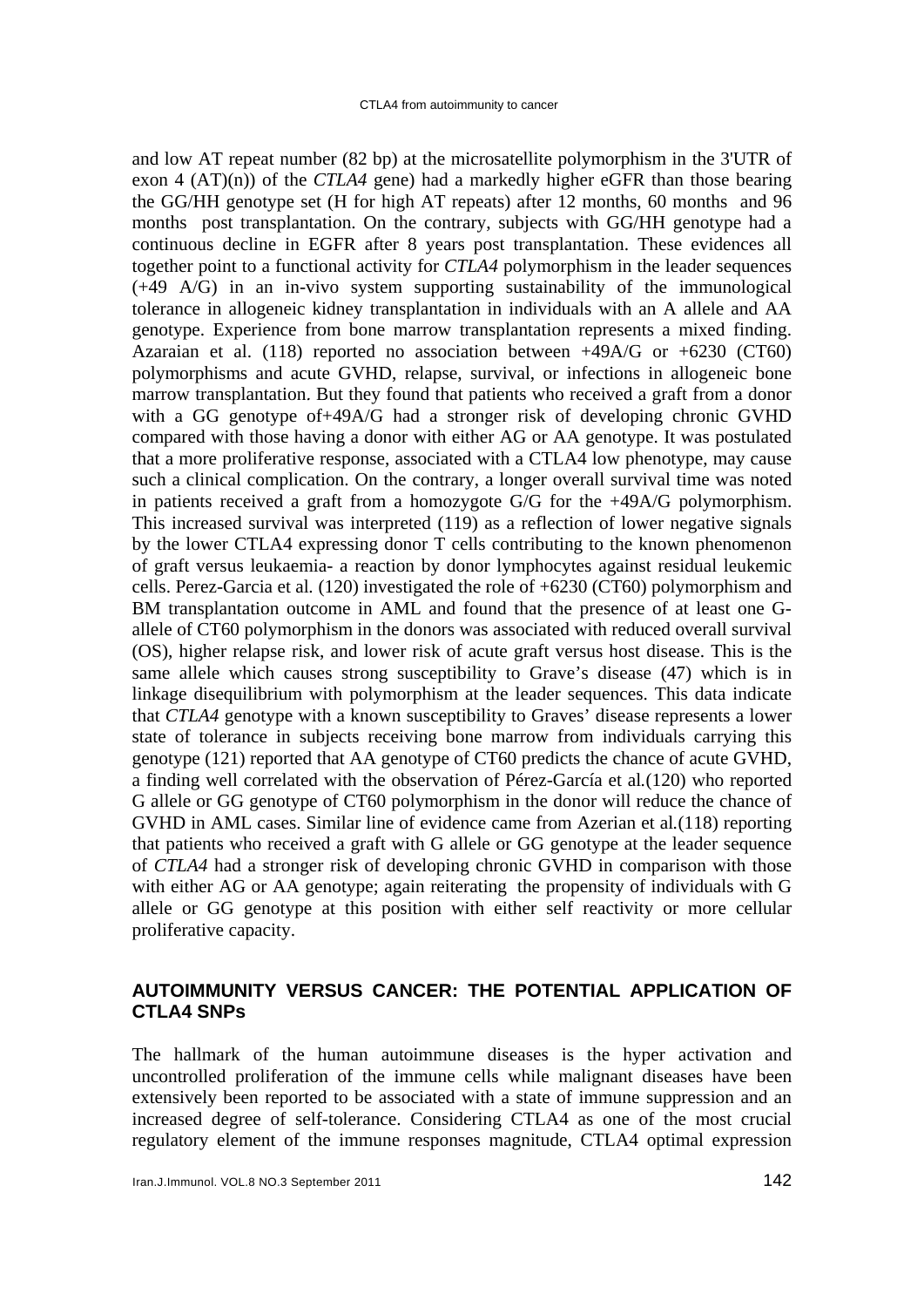and low AT repeat number (82 bp) at the microsatellite polymorphism in the 3'UTR of exon 4 (AT)(n)) of the *CTLA4* gene) had a markedly higher eGFR than those bearing the GG/HH genotype set (H for high AT repeats) after 12 months, 60 months and 96 months post transplantation. On the contrary, subjects with GG/HH genotype had a continuous decline in EGFR after 8 years post transplantation. These evidences all together point to a functional activity for *CTLA4* polymorphism in the leader sequences (+49 A/G) in an in-vivo system supporting sustainability of the immunological tolerance in allogeneic kidney transplantation in individuals with an A allele and AA genotype. Experience from bone marrow transplantation represents a mixed finding. Azaraian et al. (118) reported no association between  $+49A/G$  or  $+6230$  (CT60) polymorphisms and acute GVHD, relapse, survival, or infections in allogeneic bone marrow transplantation. But they found that patients who received a graft from a donor with a GG genotype of+49A/G had a stronger risk of developing chronic GVHD compared with those having a donor with either AG or AA genotype. It was postulated that a more proliferative response, associated with a CTLA4 low phenotype, may cause such a clinical complication. On the contrary, a longer overall survival time was noted in patients received a graft from a homozygote G/G for the +49A/G polymorphism. This increased survival was interpreted (119) as a reflection of lower negative signals by the lower CTLA4 expressing donor T cells contributing to the known phenomenon of graft versus leukaemia- a reaction by donor lymphocytes against residual leukemic cells. Perez-Garcia et al*.* (120) investigated the role of +6230 (CT60) polymorphism and BM transplantation outcome in AML and found that the presence of at least one Gallele of CT60 polymorphism in the donors was associated with reduced overall survival (OS), higher relapse risk, and lower risk of acute graft versus host disease. This is the same allele which causes strong susceptibility to Grave's disease (47) which is in linkage disequilibrium with polymorphism at the leader sequences. This data indicate that *CTLA4* genotype with a known susceptibility to Graves' disease represents a lower state of tolerance in subjects receiving bone marrow from individuals carrying this genotype (121) reported that AA genotype of CT60 predicts the chance of acute GVHD, a finding well correlated with the observation of Pérez-García et al*.*(120) who reported G allele or GG genotype of CT60 polymorphism in the donor will reduce the chance of GVHD in AML cases. Similar line of evidence came from Azerian et al*.*(118) reporting that patients who received a graft with G allele or GG genotype at the leader sequence of *CTLA4* had a stronger risk of developing chronic GVHD in comparison with those with either AG or AA genotype; again reiterating the propensity of individuals with G allele or GG genotype at this position with either self reactivity or more cellular proliferative capacity.

### **AUTOIMMUNITY VERSUS CANCER: THE POTENTIAL APPLICATION OF CTLA4 SNPs**

The hallmark of the human autoimmune diseases is the hyper activation and uncontrolled proliferation of the immune cells while malignant diseases have been extensively been reported to be associated with a state of immune suppression and an increased degree of self-tolerance. Considering CTLA4 as one of the most crucial regulatory element of the immune responses magnitude, CTLA4 optimal expression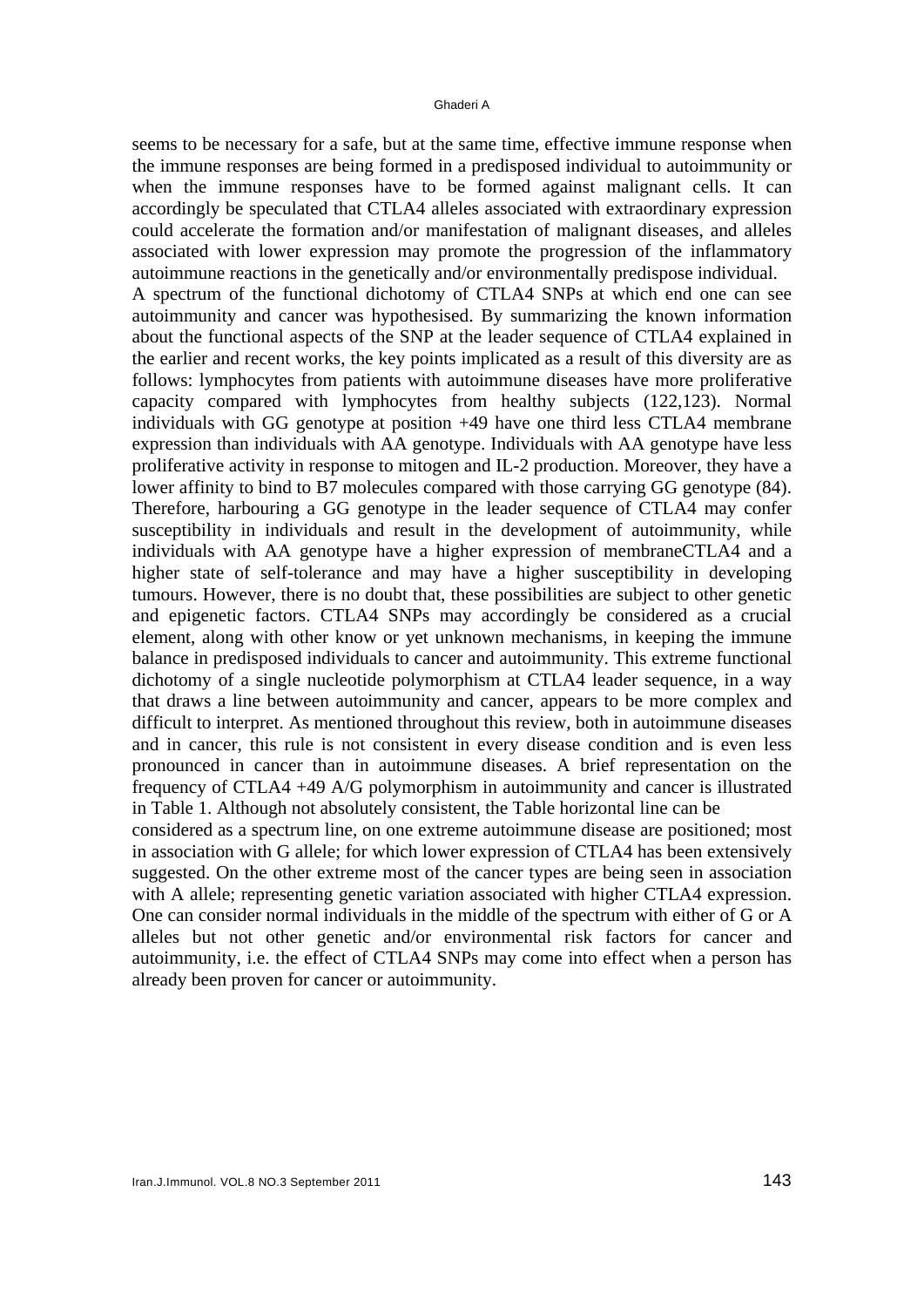seems to be necessary for a safe, but at the same time, effective immune response when the immune responses are being formed in a predisposed individual to autoimmunity or when the immune responses have to be formed against malignant cells. It can accordingly be speculated that CTLA4 alleles associated with extraordinary expression could accelerate the formation and/or manifestation of malignant diseases, and alleles associated with lower expression may promote the progression of the inflammatory autoimmune reactions in the genetically and/or environmentally predispose individual. A spectrum of the functional dichotomy of CTLA4 SNPs at which end one can see autoimmunity and cancer was hypothesised. By summarizing the known information about the functional aspects of the SNP at the leader sequence of CTLA4 explained in the earlier and recent works, the key points implicated as a result of this diversity are as follows: lymphocytes from patients with autoimmune diseases have more proliferative capacity compared with lymphocytes from healthy subjects (122,123). Normal individuals with GG genotype at position +49 have one third less CTLA4 membrane expression than individuals with AA genotype. Individuals with AA genotype have less proliferative activity in response to mitogen and IL-2 production. Moreover, they have a lower affinity to bind to B7 molecules compared with those carrying GG genotype (84). Therefore, harbouring a GG genotype in the leader sequence of CTLA4 may confer susceptibility in individuals and result in the development of autoimmunity, while individuals with AA genotype have a higher expression of membraneCTLA4 and a higher state of self-tolerance and may have a higher susceptibility in developing tumours. However, there is no doubt that, these possibilities are subject to other genetic and epigenetic factors. CTLA4 SNPs may accordingly be considered as a crucial element, along with other know or yet unknown mechanisms, in keeping the immune balance in predisposed individuals to cancer and autoimmunity. This extreme functional dichotomy of a single nucleotide polymorphism at CTLA4 leader sequence, in a way that draws a line between autoimmunity and cancer, appears to be more complex and difficult to interpret. As mentioned throughout this review, both in autoimmune diseases and in cancer, this rule is not consistent in every disease condition and is even less pronounced in cancer than in autoimmune diseases. A brief representation on the frequency of CTLA4 +49 A/G polymorphism in autoimmunity and cancer is illustrated in Table 1. Although not absolutely consistent, the Table horizontal line can be considered as a spectrum line, on one extreme autoimmune disease are positioned; most

in association with G allele; for which lower expression of CTLA4 has been extensively suggested. On the other extreme most of the cancer types are being seen in association with A allele; representing genetic variation associated with higher CTLA4 expression. One can consider normal individuals in the middle of the spectrum with either of G or A alleles but not other genetic and/or environmental risk factors for cancer and autoimmunity, i.e. the effect of CTLA4 SNPs may come into effect when a person has already been proven for cancer or autoimmunity.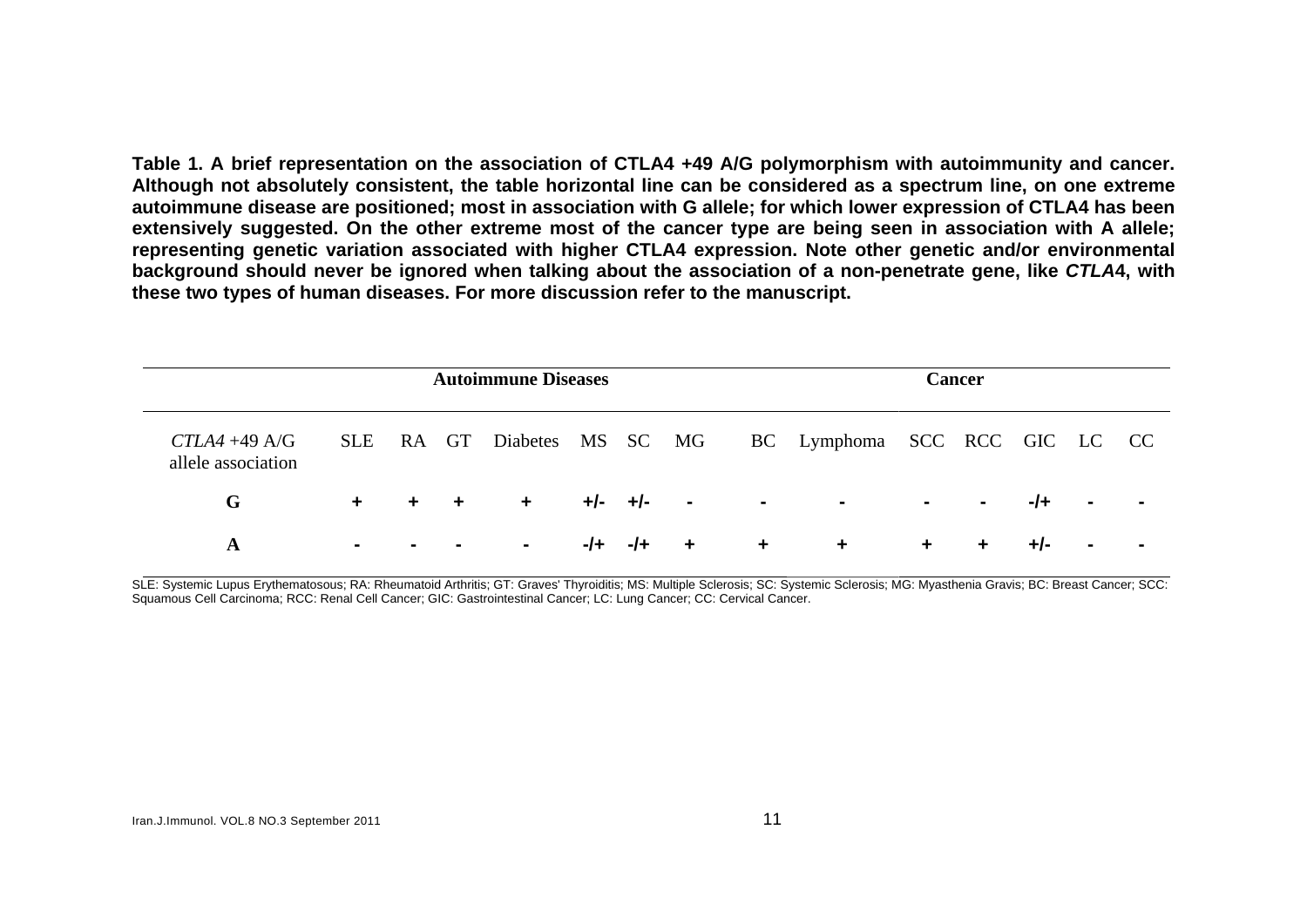**Table 1. A brief representation on the association of CTLA4 +49 A/G polymorphism with autoimmunity and cancer. Although not absolutely consistent, the table horizontal line can be considered as a spectrum line, on one extreme autoimmune disease are positioned; most in association with G allele; for which lower expression of CTLA4 has been extensively suggested. On the other extreme most of the cancer type are being seen in association with A allele; representing genetic variation associated with higher CTLA4 expression. Note other genetic and/or environmental background should never be ignored when talking about the association of a non-penetrate gene, like** *CTLA***4, with these two types of human diseases. For more discussion refer to the manuscript.** 

|                                        | <b>Autoimmune Diseases</b> |  |       |          |       |         |                         |                      |                               | Cancer               |                |     |                |  |  |
|----------------------------------------|----------------------------|--|-------|----------|-------|---------|-------------------------|----------------------|-------------------------------|----------------------|----------------|-----|----------------|--|--|
| $CTLA4 + 49 A/G$<br>allele association | <b>SLE</b>                 |  | RA GT | Diabetes |       |         | MS SC MG                |                      | BC Lymphoma SCC RCC GIC LC CC |                      |                |     |                |  |  |
| G                                      | $+$ $-$                    |  | $+ +$ | $+$      |       | +/- +/- | $\sim 100$ km s $^{-1}$ | $\blacksquare$       | $\sim$                        | $\sim$               | $\blacksquare$ | -/+ | $\blacksquare$ |  |  |
| A                                      | $\blacksquare$             |  |       | $\sim$   | $-1+$ | $-I +$  | $+$                     | $\ddot{\phantom{1}}$ | $\ddot{\phantom{1}}$          | $\ddot{\phantom{1}}$ | ÷              | +/- | $\blacksquare$ |  |  |

SLE: Systemic Lupus Erythematosous: RA: Rheumatoid Arthritis: GT: Graves' Thyroiditis: MS: Multiple Sclerosis: SC: Systemic Sclerosis: MG: Myasthenia Gravis: BC: Breast Cancer: SCC: Squamous Cell Carcinoma; RCC: Renal Cell Cancer; GIC: Gastrointestinal Cancer; LC: Lung Cancer; CC: Cervical Cancer.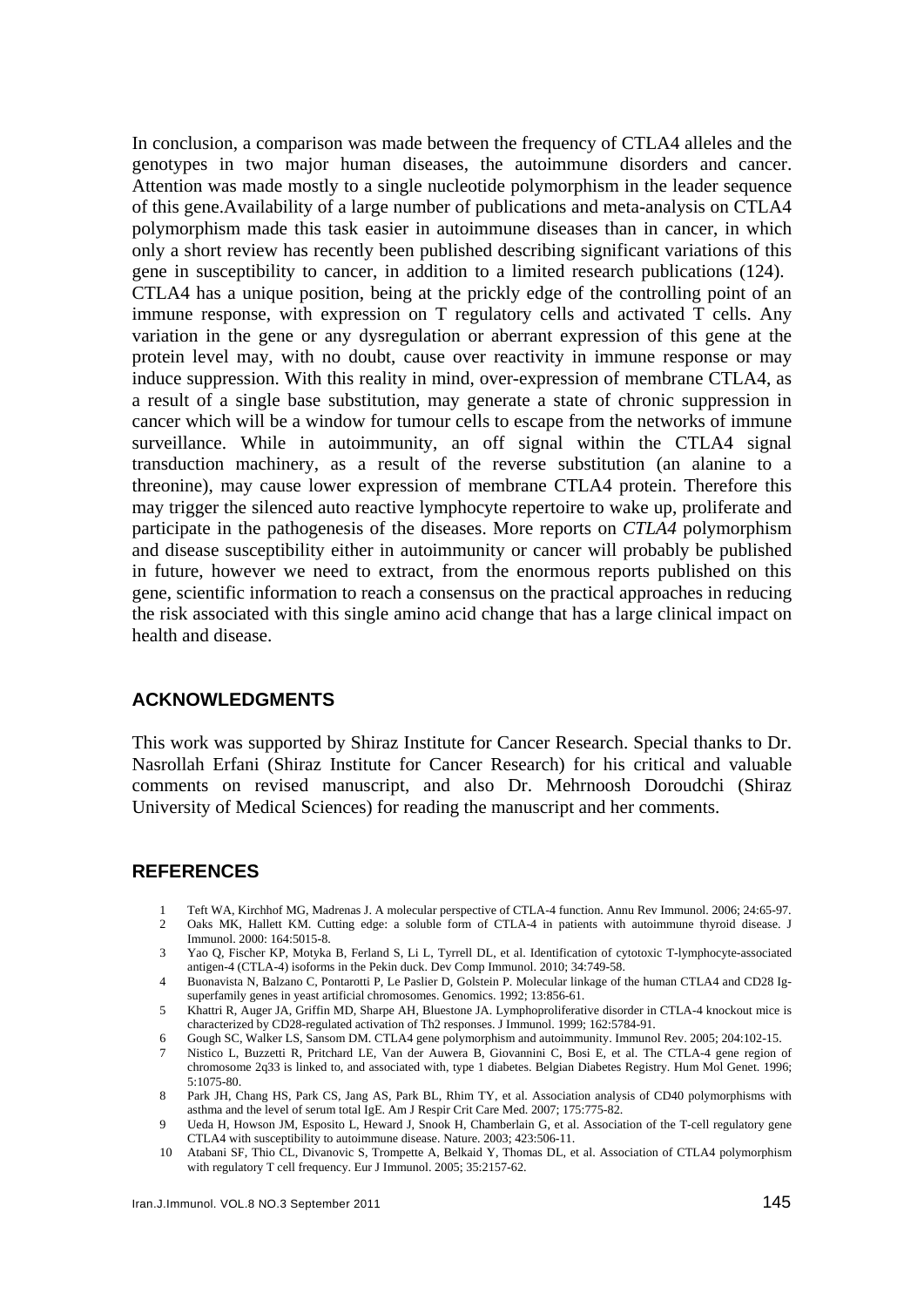In conclusion, a comparison was made between the frequency of CTLA4 alleles and the genotypes in two major human diseases, the autoimmune disorders and cancer. Attention was made mostly to a single nucleotide polymorphism in the leader sequence of this gene.Availability of a large number of publications and meta-analysis on CTLA4 polymorphism made this task easier in autoimmune diseases than in cancer, in which only a short review has recently been published describing significant variations of this gene in susceptibility to cancer, in addition to a limited research publications (124). CTLA4 has a unique position, being at the prickly edge of the controlling point of an immune response, with expression on T regulatory cells and activated T cells. Any variation in the gene or any dysregulation or aberrant expression of this gene at the protein level may, with no doubt, cause over reactivity in immune response or may induce suppression. With this reality in mind, over-expression of membrane CTLA4, as a result of a single base substitution, may generate a state of chronic suppression in cancer which will be a window for tumour cells to escape from the networks of immune surveillance. While in autoimmunity, an off signal within the CTLA4 signal transduction machinery, as a result of the reverse substitution (an alanine to a threonine), may cause lower expression of membrane CTLA4 protein. Therefore this may trigger the silenced auto reactive lymphocyte repertoire to wake up, proliferate and participate in the pathogenesis of the diseases. More reports on *CTLA4* polymorphism and disease susceptibility either in autoimmunity or cancer will probably be published in future, however we need to extract, from the enormous reports published on this gene, scientific information to reach a consensus on the practical approaches in reducing the risk associated with this single amino acid change that has a large clinical impact on health and disease.

#### **ACKNOWLEDGMENTS**

This work was supported by Shiraz Institute for Cancer Research. Special thanks to Dr. Nasrollah Erfani (Shiraz Institute for Cancer Research) for his critical and valuable comments on revised manuscript, and also Dr. Mehrnoosh Doroudchi (Shiraz University of Medical Sciences) for reading the manuscript and her comments.

#### **REFERENCES**

- 1 Teft WA, Kirchhof MG, Madrenas J. A molecular perspective of CTLA-4 function. Annu Rev Immunol. 2006; 24:65-97.<br>2 Oaks MK, Hallett KM, Cutting edge: a soluble form of CTLA-4 in patients with autoimmune thyroid disease. J
- 2 Oaks MK, Hallett KM. Cutting edge: a soluble form of CTLA-4 in patients with autoimmune thyroid disease. J Immunol. 2000: 164:5015-8.
- 3 Yao Q, Fischer KP, Motyka B, Ferland S, Li L, Tyrrell DL, et al. Identification of cytotoxic T-lymphocyte-associated antigen-4 (CTLA-4) isoforms in the Pekin duck. Dev Comp Immunol. 2010; 34:749-58.
- 4 Buonavista N, Balzano C, Pontarotti P, Le Paslier D, Golstein P. Molecular linkage of the human CTLA4 and CD28 Igsuperfamily genes in yeast artificial chromosomes. Genomics. 1992; 13:856-61.
- 5 Khattri R, Auger JA, Griffin MD, Sharpe AH, Bluestone JA. Lymphoproliferative disorder in CTLA-4 knockout mice is characterized by CD28-regulated activation of Th2 responses. J Immunol. 1999; 162:5784-91.
- 6 Gough SC, Walker LS, Sansom DM. CTLA4 gene polymorphism and autoimmunity. Immunol Rev. 2005; 204:102-15.
- 7 Nistico L, Buzzetti R, Pritchard LE, Van der Auwera B, Giovannini C, Bosi E, et al. The CTLA-4 gene region of chromosome 2q33 is linked to, and associated with, type 1 diabetes. Belgian Diabetes Registry. Hum Mol Genet. 1996; 5:1075-80.
- 8 Park JH, Chang HS, Park CS, Jang AS, Park BL, Rhim TY, et al. Association analysis of CD40 polymorphisms with asthma and the level of serum total IgE. Am J Respir Crit Care Med. 2007; 175:775-82.
- Ueda H, Howson JM, Esposito L, Heward J, Snook H, Chamberlain G, et al. Association of the T-cell regulatory gene CTLA4 with susceptibility to autoimmune disease. Nature. 2003; 423:506-11.
- 10 Atabani SF, Thio CL, Divanovic S, Trompette A, Belkaid Y, Thomas DL, et al. Association of CTLA4 polymorphism with regulatory T cell frequency. Eur J Immunol. 2005; 35:2157-62.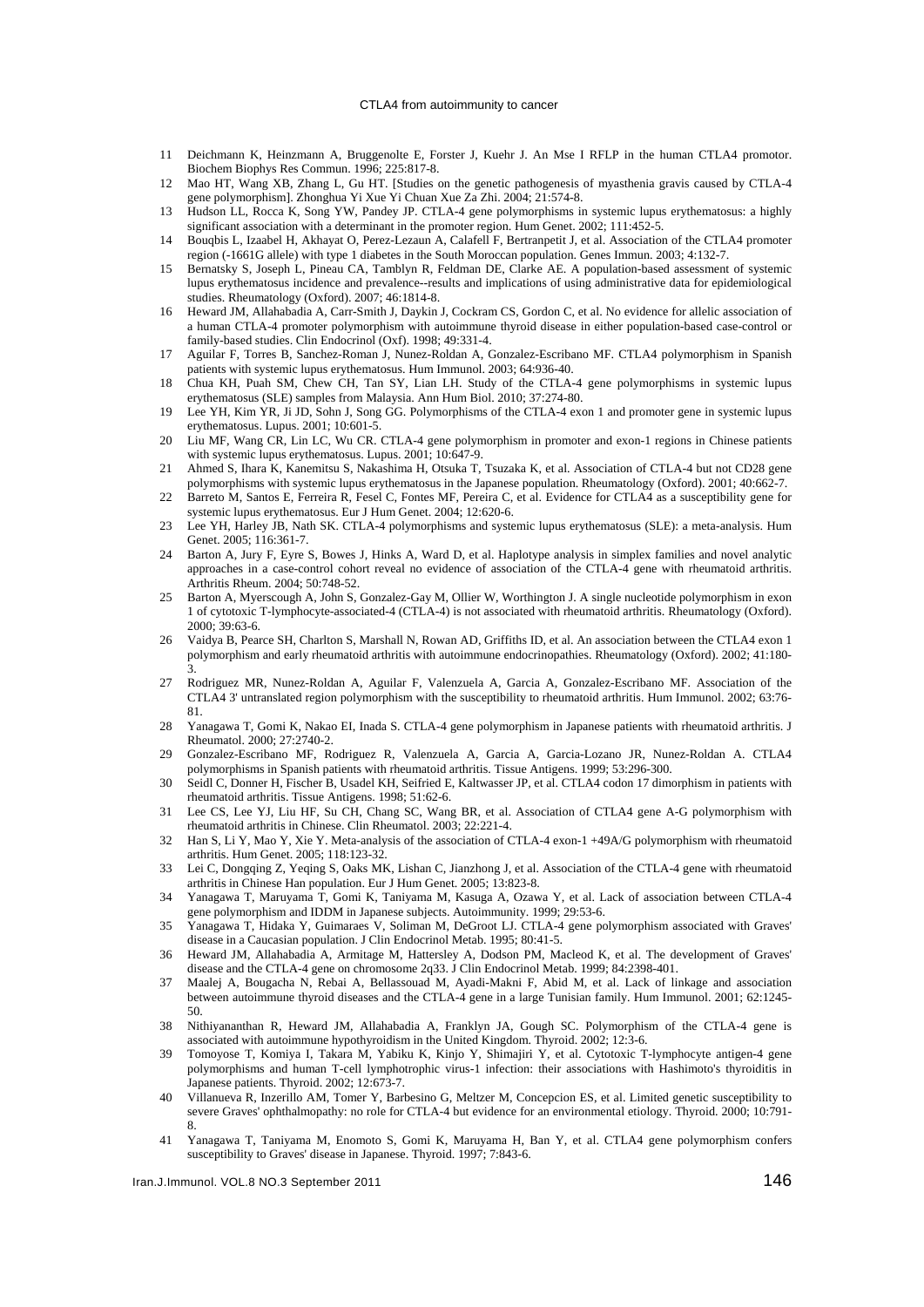#### CTLA4 from autoimmunity to cancer

- 11 Deichmann K, Heinzmann A, Bruggenolte E, Forster J, Kuehr J. An Mse I RFLP in the human CTLA4 promotor. Biochem Biophys Res Commun. 1996; 225:817-8.
- 12 Mao HT, Wang XB, Zhang L, Gu HT. [Studies on the genetic pathogenesis of myasthenia gravis caused by CTLA-4 gene polymorphism]. Zhonghua Yi Xue Yi Chuan Xue Za Zhi. 2004; 21:574-8.
- 13 Hudson LL, Rocca K, Song YW, Pandey JP. CTLA-4 gene polymorphisms in systemic lupus erythematosus: a highly significant association with a determinant in the promoter region. Hum Genet. 2002; 111:452-5.
- 14 Bouqbis L, Izaabel H, Akhayat O, Perez-Lezaun A, Calafell F, Bertranpetit J, et al. Association of the CTLA4 promoter region (-1661G allele) with type 1 diabetes in the South Moroccan population. Genes Immun. 2003; 4:132-7.
- 15 Bernatsky S, Joseph L, Pineau CA, Tamblyn R, Feldman DE, Clarke AE. A population-based assessment of systemic lupus erythematosus incidence and prevalence--results and implications of using administrative data for epidemiological studies. Rheumatology (Oxford). 2007; 46:1814-8.
- 16 Heward JM, Allahabadia A, Carr-Smith J, Daykin J, Cockram CS, Gordon C, et al. No evidence for allelic association of a human CTLA-4 promoter polymorphism with autoimmune thyroid disease in either population-based case-control or family-based studies. Clin Endocrinol (Oxf). 1998; 49:331-4.
- 17 Aguilar F, Torres B, Sanchez-Roman J, Nunez-Roldan A, Gonzalez-Escribano MF. CTLA4 polymorphism in Spanish patients with systemic lupus erythematosus. Hum Immunol. 2003; 64:936-40.
- 18 Chua KH, Puah SM, Chew CH, Tan SY, Lian LH. Study of the CTLA-4 gene polymorphisms in systemic lupus erythematosus (SLE) samples from Malaysia. Ann Hum Biol. 2010; 37:274-80.
- 19 Lee YH, Kim YR, Ji JD, Sohn J, Song GG. Polymorphisms of the CTLA-4 exon 1 and promoter gene in systemic lupus erythematosus. Lupus. 2001; 10:601-5.
- 20 Liu MF, Wang CR, Lin LC, Wu CR. CTLA-4 gene polymorphism in promoter and exon-1 regions in Chinese patients with systemic lupus erythematosus. Lupus. 2001; 10:647-9.
- 21 Ahmed S, Ihara K, Kanemitsu S, Nakashima H, Otsuka T, Tsuzaka K, et al. Association of CTLA-4 but not CD28 gene polymorphisms with systemic lupus erythematosus in the Japanese population. Rheumatology (Oxford). 2001; 40:662-7.
- 22 Barreto M, Santos E, Ferreira R, Fesel C, Fontes MF, Pereira C, et al. Evidence for CTLA4 as a susceptibility gene for systemic lupus erythematosus. Eur J Hum Genet. 2004; 12:620-6.
- 23 Lee YH, Harley JB, Nath SK. CTLA-4 polymorphisms and systemic lupus erythematosus (SLE): a meta-analysis. Hum Genet. 2005; 116:361-7.
- 24 Barton A, Jury F, Eyre S, Bowes J, Hinks A, Ward D, et al. Haplotype analysis in simplex families and novel analytic approaches in a case-control cohort reveal no evidence of association of the CTLA-4 gene with rheumatoid arthritis. Arthritis Rheum. 2004; 50:748-52.
- 25 Barton A, Myerscough A, John S, Gonzalez-Gay M, Ollier W, Worthington J. A single nucleotide polymorphism in exon 1 of cytotoxic T-lymphocyte-associated-4 (CTLA-4) is not associated with rheumatoid arthritis. Rheumatology (Oxford). 2000; 39:63-6.
- 26 Vaidya B, Pearce SH, Charlton S, Marshall N, Rowan AD, Griffiths ID, et al. An association between the CTLA4 exon 1 polymorphism and early rheumatoid arthritis with autoimmune endocrinopathies. Rheumatology (Oxford). 2002; 41:180- 3.
- 27 Rodriguez MR, Nunez-Roldan A, Aguilar F, Valenzuela A, Garcia A, Gonzalez-Escribano MF. Association of the CTLA4 3' untranslated region polymorphism with the susceptibility to rheumatoid arthritis. Hum Immunol. 2002; 63:76- 81.
- 28 Yanagawa T, Gomi K, Nakao EI, Inada S. CTLA-4 gene polymorphism in Japanese patients with rheumatoid arthritis. J Rheumatol. 2000; 27:2740-2.
- 29 Gonzalez-Escribano MF, Rodriguez R, Valenzuela A, Garcia A, Garcia-Lozano JR, Nunez-Roldan A. CTLA4 polymorphisms in Spanish patients with rheumatoid arthritis. Tissue Antigens. 1999; 53:296-300.
- 30 Seidl C, Donner H, Fischer B, Usadel KH, Seifried E, Kaltwasser JP, et al. CTLA4 codon 17 dimorphism in patients with rheumatoid arthritis. Tissue Antigens. 1998; 51:62-6.
- 31 Lee CS, Lee YJ, Liu HF, Su CH, Chang SC, Wang BR, et al. Association of CTLA4 gene A-G polymorphism with rheumatoid arthritis in Chinese. Clin Rheumatol. 2003; 22:221-4.
- 32 Han S, Li Y, Mao Y, Xie Y. Meta-analysis of the association of CTLA-4 exon-1 +49A/G polymorphism with rheumatoid arthritis. Hum Genet. 2005; 118:123-32.
- 33 Lei C, Dongqing Z, Yeqing S, Oaks MK, Lishan C, Jianzhong J, et al. Association of the CTLA-4 gene with rheumatoid arthritis in Chinese Han population. Eur J Hum Genet. 2005; 13:823-8.
- 34 Yanagawa T, Maruyama T, Gomi K, Taniyama M, Kasuga A, Ozawa Y, et al. Lack of association between CTLA-4 gene polymorphism and IDDM in Japanese subjects. Autoimmunity. 1999; 29:53-6.
- 35 Yanagawa T, Hidaka Y, Guimaraes V, Soliman M, DeGroot LJ. CTLA-4 gene polymorphism associated with Graves' disease in a Caucasian population. J Clin Endocrinol Metab. 1995; 80:41-5.
- 36 Heward JM, Allahabadia A, Armitage M, Hattersley A, Dodson PM, Macleod K, et al. The development of Graves' disease and the CTLA-4 gene on chromosome 2q33. J Clin Endocrinol Metab. 1999; 84:2398-401.
- 37 Maalej A, Bougacha N, Rebai A, Bellassouad M, Ayadi-Makni F, Abid M, et al. Lack of linkage and association between autoimmune thyroid diseases and the CTLA-4 gene in a large Tunisian family. Hum Immunol. 2001; 62:1245- 50.
- 38 Nithiyananthan R, Heward JM, Allahabadia A, Franklyn JA, Gough SC. Polymorphism of the CTLA-4 gene is associated with autoimmune hypothyroidism in the United Kingdom. Thyroid. 2002; 12:3-6.
- 39 Tomoyose T, Komiya I, Takara M, Yabiku K, Kinjo Y, Shimajiri Y, et al. Cytotoxic T-lymphocyte antigen-4 gene polymorphisms and human T-cell lymphotrophic virus-1 infection: their associations with Hashimoto's thyroiditis in Japanese patients. Thyroid. 2002; 12:673-7.
- 40 Villanueva R, Inzerillo AM, Tomer Y, Barbesino G, Meltzer M, Concepcion ES, et al. Limited genetic susceptibility to severe Graves' ophthalmopathy: no role for CTLA-4 but evidence for an environmental etiology. Thyroid. 2000; 10:791- 8.
- 41 Yanagawa T, Taniyama M, Enomoto S, Gomi K, Maruyama H, Ban Y, et al. CTLA4 gene polymorphism confers susceptibility to Graves' disease in Japanese. Thyroid. 1997; 7:843-6.

Iran.J.Immunol. VOL.8 NO.3 September 2011 146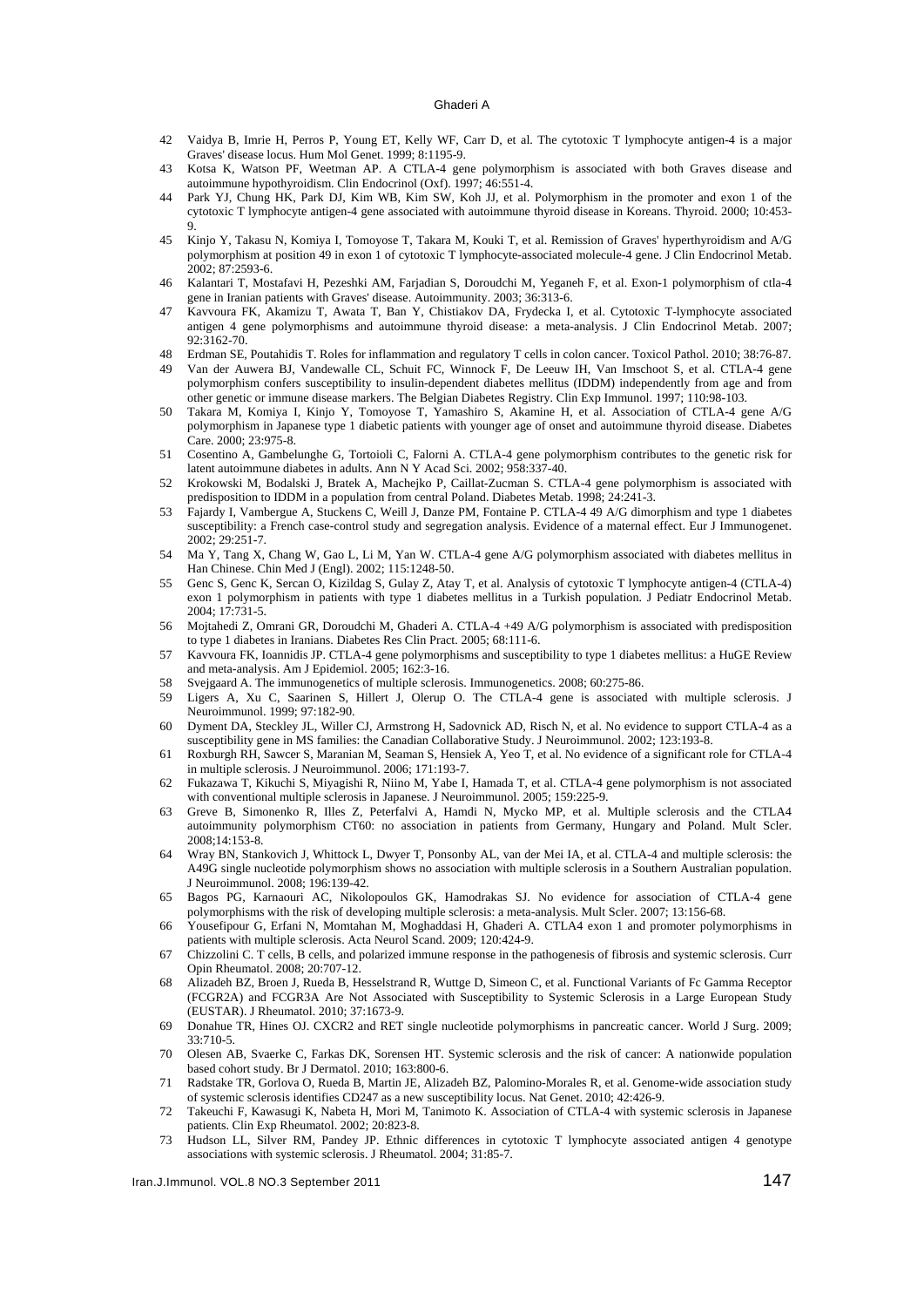#### Ghaderi A

- 42 Vaidya B, Imrie H, Perros P, Young ET, Kelly WF, Carr D, et al. The cytotoxic T lymphocyte antigen-4 is a major Graves' disease locus. Hum Mol Genet. 1999; 8:1195-9.
- 43 Kotsa K, Watson PF, Weetman AP. A CTLA-4 gene polymorphism is associated with both Graves disease and autoimmune hypothyroidism. Clin Endocrinol (Oxf). 1997; 46:551-4.
- 44 Park YJ, Chung HK, Park DJ, Kim WB, Kim SW, Koh JJ, et al. Polymorphism in the promoter and exon 1 of the cytotoxic T lymphocyte antigen-4 gene associated with autoimmune thyroid disease in Koreans. Thyroid. 2000; 10:453- 9.
- 45 Kinjo Y, Takasu N, Komiya I, Tomoyose T, Takara M, Kouki T, et al. Remission of Graves' hyperthyroidism and A/G polymorphism at position 49 in exon 1 of cytotoxic T lymphocyte-associated molecule-4 gene. J Clin Endocrinol Metab. 2002; 87:2593-6.
- 46 Kalantari T, Mostafavi H, Pezeshki AM, Farjadian S, Doroudchi M, Yeganeh F, et al. Exon-1 polymorphism of ctla-4 gene in Iranian patients with Graves' disease. Autoimmunity. 2003; 36:313-6.
- 47 Kavvoura FK, Akamizu T, Awata T, Ban Y, Chistiakov DA, Frydecka I, et al. Cytotoxic T-lymphocyte associated antigen 4 gene polymorphisms and autoimmune thyroid disease: a meta-analysis. J Clin Endocrinol Metab. 2007; 92:3162-70.
- 48 Erdman SE, Poutahidis T. Roles for inflammation and regulatory T cells in colon cancer. Toxicol Pathol. 2010; 38:76-87.
- 49 Van der Auwera BJ, Vandewalle CL, Schuit FC, Winnock F, De Leeuw IH, Van Imschoot S, et al. CTLA-4 gene polymorphism confers susceptibility to insulin-dependent diabetes mellitus (IDDM) independently from age and from other genetic or immune disease markers. The Belgian Diabetes Registry. Clin Exp Immunol. 1997; 110:98-103.
- 50 Takara M, Komiya I, Kinjo Y, Tomoyose T, Yamashiro S, Akamine H, et al. Association of CTLA-4 gene A/G polymorphism in Japanese type 1 diabetic patients with younger age of onset and autoimmune thyroid disease. Diabetes Care. 2000; 23:975-8.
- 51 Cosentino A, Gambelunghe G, Tortoioli C, Falorni A. CTLA-4 gene polymorphism contributes to the genetic risk for latent autoimmune diabetes in adults. Ann N Y Acad Sci. 2002; 958:337-40.
- 52 Krokowski M, Bodalski J, Bratek A, Machejko P, Caillat-Zucman S. CTLA-4 gene polymorphism is associated with predisposition to IDDM in a population from central Poland. Diabetes Metab. 1998; 24:241-3.
- 53 Fajardy I, Vambergue A, Stuckens C, Weill J, Danze PM, Fontaine P. CTLA-4 49 A/G dimorphism and type 1 diabetes susceptibility: a French case-control study and segregation analysis. Evidence of a maternal effect. Eur J Immunogenet. 2002; 29:251-7.
- 54 Ma Y, Tang X, Chang W, Gao L, Li M, Yan W. CTLA-4 gene A/G polymorphism associated with diabetes mellitus in Han Chinese. Chin Med J (Engl). 2002; 115:1248-50.
- 55 Genc S, Genc K, Sercan O, Kizildag S, Gulay Z, Atay T, et al. Analysis of cytotoxic T lymphocyte antigen-4 (CTLA-4) exon 1 polymorphism in patients with type 1 diabetes mellitus in a Turkish population. J Pediatr Endocrinol Metab. 2004; 17:731-5.
- 56 Mojtahedi Z, Omrani GR, Doroudchi M, Ghaderi A. CTLA-4 +49 A/G polymorphism is associated with predisposition to type 1 diabetes in Iranians. Diabetes Res Clin Pract. 2005; 68:111-6.
- 57 Kavvoura FK, Ioannidis JP. CTLA-4 gene polymorphisms and susceptibility to type 1 diabetes mellitus: a HuGE Review and meta-analysis. Am J Epidemiol. 2005; 162:3-16.
- 58 Svejgaard A. The immunogenetics of multiple sclerosis. Immunogenetics. 2008; 60:275-86.
- 59 Ligers A, Xu C, Saarinen S, Hillert J, Olerup O. The CTLA-4 gene is associated with multiple sclerosis. J Neuroimmunol. 1999; 97:182-90.
- 60 Dyment DA, Steckley JL, Willer CJ, Armstrong H, Sadovnick AD, Risch N, et al. No evidence to support CTLA-4 as a susceptibility gene in MS families: the Canadian Collaborative Study. J Neuroimmunol. 2002; 123:193-8.
- 61 Roxburgh RH, Sawcer S, Maranian M, Seaman S, Hensiek A, Yeo T, et al. No evidence of a significant role for CTLA-4 in multiple sclerosis. J Neuroimmunol. 2006; 171:193-7.
- 62 Fukazawa T, Kikuchi S, Miyagishi R, Niino M, Yabe I, Hamada T, et al. CTLA-4 gene polymorphism is not associated with conventional multiple sclerosis in Japanese. J Neuroimmunol. 2005; 159:225-9.
- 63 Greve B, Simonenko R, Illes Z, Peterfalvi A, Hamdi N, Mycko MP, et al. Multiple sclerosis and the CTLA4 autoimmunity polymorphism CT60: no association in patients from Germany, Hungary and Poland. Mult Scler. 2008;14:153-8.
- 64 Wray BN, Stankovich J, Whittock L, Dwyer T, Ponsonby AL, van der Mei IA, et al. CTLA-4 and multiple sclerosis: the A49G single nucleotide polymorphism shows no association with multiple sclerosis in a Southern Australian population. J Neuroimmunol. 2008; 196:139-42.
- 65 Bagos PG, Karnaouri AC, Nikolopoulos GK, Hamodrakas SJ. No evidence for association of CTLA-4 gene polymorphisms with the risk of developing multiple sclerosis: a meta-analysis. Mult Scler. 2007; 13:156-68.
- 66 Yousefipour G, Erfani N, Momtahan M, Moghaddasi H, Ghaderi A. CTLA4 exon 1 and promoter polymorphisms in patients with multiple sclerosis. Acta Neurol Scand. 2009; 120:424-9.
- 67 Chizzolini C. T cells, B cells, and polarized immune response in the pathogenesis of fibrosis and systemic sclerosis. Curr Opin Rheumatol. 2008; 20:707-12.
- 68 Alizadeh BZ, Broen J, Rueda B, Hesselstrand R, Wuttge D, Simeon C, et al. Functional Variants of Fc Gamma Receptor (FCGR2A) and FCGR3A Are Not Associated with Susceptibility to Systemic Sclerosis in a Large European Study (EUSTAR). J Rheumatol. 2010; 37:1673-9.
- 69 Donahue TR, Hines OJ. CXCR2 and RET single nucleotide polymorphisms in pancreatic cancer. World J Surg. 2009; 33:710-5.
- 70 Olesen AB, Svaerke C, Farkas DK, Sorensen HT. Systemic sclerosis and the risk of cancer: A nationwide population based cohort study. Br J Dermatol. 2010; 163:800-6.
- 71 Radstake TR, Gorlova O, Rueda B, Martin JE, Alizadeh BZ, Palomino-Morales R, et al. Genome-wide association study of systemic sclerosis identifies CD247 as a new susceptibility locus. Nat Genet. 2010; 42:426-9.
- 72 Takeuchi F, Kawasugi K, Nabeta H, Mori M, Tanimoto K. Association of CTLA-4 with systemic sclerosis in Japanese patients. Clin Exp Rheumatol. 2002; 20:823-8.
- 73 Hudson LL, Silver RM, Pandey JP. Ethnic differences in cytotoxic T lymphocyte associated antigen 4 genotype associations with systemic sclerosis. J Rheumatol. 2004; 31:85-7.

Iran.J.Immunol. VOL.8 NO.3 September 2011 147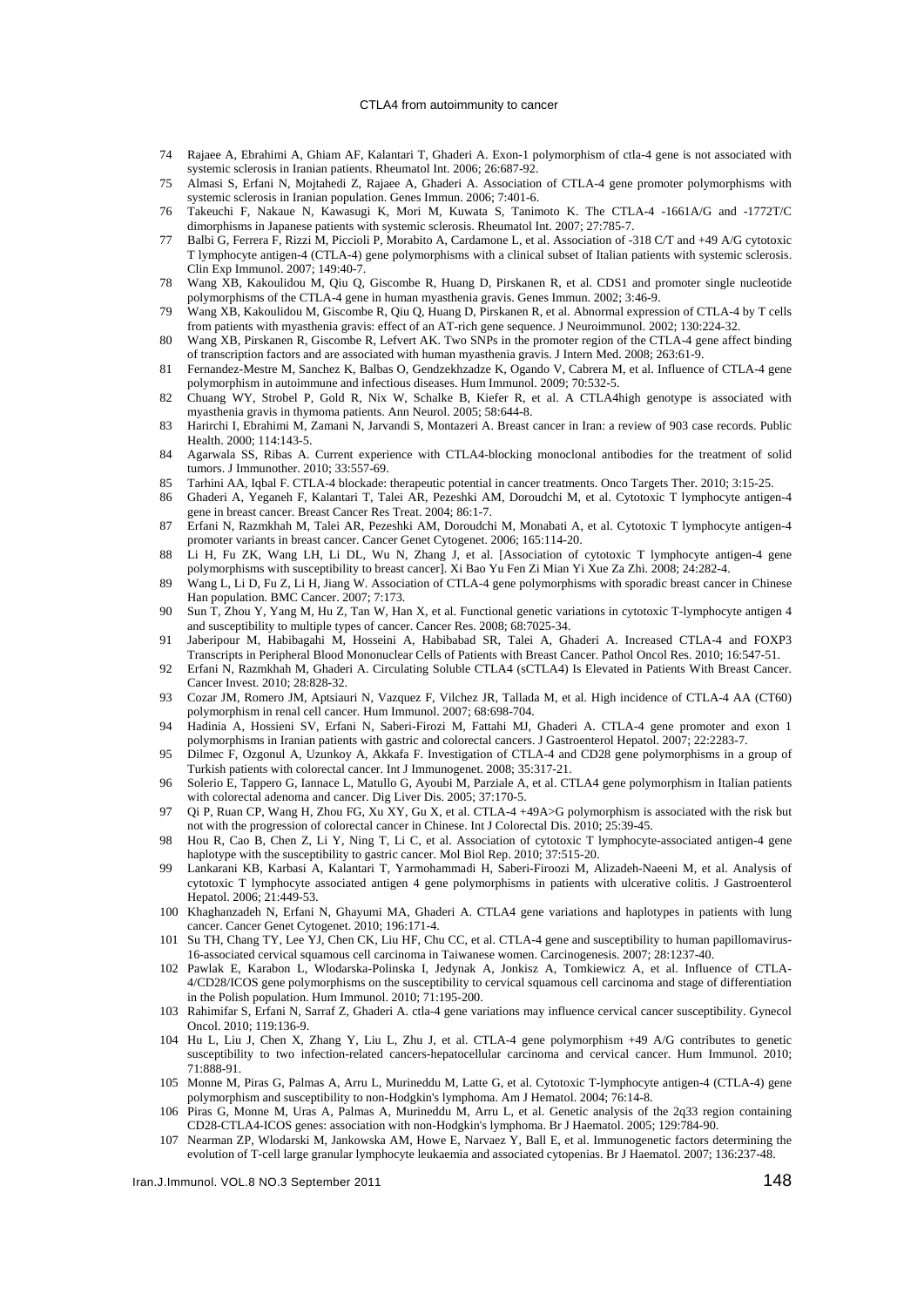#### CTLA4 from autoimmunity to cancer

- 74 Rajaee A, Ebrahimi A, Ghiam AF, Kalantari T, Ghaderi A. Exon-1 polymorphism of ctla-4 gene is not associated with systemic sclerosis in Iranian patients. Rheumatol Int. 2006; 26:687-92.
- 75 Almasi S, Erfani N, Mojtahedi Z, Rajaee A, Ghaderi A. Association of CTLA-4 gene promoter polymorphisms with systemic sclerosis in Iranian population. Genes Immun. 2006; 7:401-6.
- 76 Takeuchi F, Nakaue N, Kawasugi K, Mori M, Kuwata S, Tanimoto K. The CTLA-4 -1661A/G and -1772T/C dimorphisms in Japanese patients with systemic sclerosis. Rheumatol Int. 2007; 27:785-7.
- 77 Balbi G, Ferrera F, Rizzi M, Piccioli P, Morabito A, Cardamone L, et al. Association of -318 C/T and +49 A/G cytotoxic T lymphocyte antigen-4 (CTLA-4) gene polymorphisms with a clinical subset of Italian patients with systemic sclerosis. Clin Exp Immunol. 2007; 149:40-7.
- 78 Wang XB, Kakoulidou M, Qiu Q, Giscombe R, Huang D, Pirskanen R, et al. CDS1 and promoter single nucleotide polymorphisms of the CTLA-4 gene in human myasthenia gravis. Genes Immun. 2002; 3:46-9.
- 79 Wang XB, Kakoulidou M, Giscombe R, Qiu Q, Huang D, Pirskanen R, et al. Abnormal expression of CTLA-4 by T cells from patients with myasthenia gravis: effect of an AT-rich gene sequence. J Neuroimmunol. 2002; 130:224-32.
- 80 Wang XB, Pirskanen R, Giscombe R, Lefvert AK. Two SNPs in the promoter region of the CTLA-4 gene affect binding of transcription factors and are associated with human myasthenia gravis. J Intern Med. 2008; 263:61-9.
- 81 Fernandez-Mestre M, Sanchez K, Balbas O, Gendzekhzadze K, Ogando V, Cabrera M, et al. Influence of CTLA-4 gene polymorphism in autoimmune and infectious diseases. Hum Immunol. 2009; 70:532-5.
- 82 Chuang WY, Strobel P, Gold R, Nix W, Schalke B, Kiefer R, et al. A CTLA4high genotype is associated with myasthenia gravis in thymoma patients. Ann Neurol. 2005; 58:644-8.
- 83 Harirchi I, Ebrahimi M, Zamani N, Jarvandi S, Montazeri A. Breast cancer in Iran: a review of 903 case records. Public Health. 2000; 114:143-5.
- 84 Agarwala SS, Ribas A. Current experience with CTLA4-blocking monoclonal antibodies for the treatment of solid tumors. J Immunother. 2010; 33:557-69.
- 85 Tarhini AA, Iqbal F. CTLA-4 blockade: therapeutic potential in cancer treatments. Onco Targets Ther. 2010; 3:15-25.
- 86 Ghaderi A, Yeganeh F, Kalantari T, Talei AR, Pezeshki AM, Doroudchi M, et al. Cytotoxic T lymphocyte antigen-4 gene in breast cancer. Breast Cancer Res Treat. 2004; 86:1-7.
- 87 Erfani N, Razmkhah M, Talei AR, Pezeshki AM, Doroudchi M, Monabati A, et al. Cytotoxic T lymphocyte antigen-4 promoter variants in breast cancer. Cancer Genet Cytogenet. 2006; 165:114-20.
- 88 Li H, Fu ZK, Wang LH, Li DL, Wu N, Zhang J, et al. [Association of cytotoxic T lymphocyte antigen-4 gene polymorphisms with susceptibility to breast cancer]. Xi Bao Yu Fen Zi Mian Yi Xue Za Zhi. 2008; 24:282-4.
- 89 Wang L, Li D, Fu Z, Li H, Jiang W. Association of CTLA-4 gene polymorphisms with sporadic breast cancer in Chinese Han population. BMC Cancer. 2007; 7:173.
- 90 Sun T, Zhou Y, Yang M, Hu Z, Tan W, Han X, et al. Functional genetic variations in cytotoxic T-lymphocyte antigen 4 and susceptibility to multiple types of cancer. Cancer Res. 2008; 68:7025-34.
- 91 Jaberipour M, Habibagahi M, Hosseini A, Habibabad SR, Talei A, Ghaderi A. Increased CTLA-4 and FOXP3 Transcripts in Peripheral Blood Mononuclear Cells of Patients with Breast Cancer. Pathol Oncol Res. 2010; 16:547-51.
- 92 Erfani N, Razmkhah M, Ghaderi A. Circulating Soluble CTLA4 (sCTLA4) Is Elevated in Patients With Breast Cancer. Cancer Invest. 2010; 28:828-32.
- 93 Cozar JM, Romero JM, Aptsiauri N, Vazquez F, Vilchez JR, Tallada M, et al. High incidence of CTLA-4 AA (CT60) polymorphism in renal cell cancer. Hum Immunol. 2007; 68:698-704.
- 94 Hadinia A, Hossieni SV, Erfani N, Saberi-Firozi M, Fattahi MJ, Ghaderi A. CTLA-4 gene promoter and exon 1 polymorphisms in Iranian patients with gastric and colorectal cancers. J Gastroenterol Hepatol. 2007; 22:2283-7.
- 95 Dilmec F, Ozgonul A, Uzunkoy A, Akkafa F. Investigation of CTLA-4 and CD28 gene polymorphisms in a group of Turkish patients with colorectal cancer. Int J Immunogenet. 2008; 35:317-21.
- 96 Solerio E, Tappero G, Iannace L, Matullo G, Ayoubi M, Parziale A, et al. CTLA4 gene polymorphism in Italian patients with colorectal adenoma and cancer. Dig Liver Dis. 2005; 37:170-5.
- 97 Oi P, Ruan CP, Wang H, Zhou FG, Xu XY, Gu X, et al. CTLA-4 +49A>G polymorphism is associated with the risk but not with the progression of colorectal cancer in Chinese. Int J Colorectal Dis. 2010; 25:39-45.
- 98 Hou R, Cao B, Chen Z, Li Y, Ning T, Li C, et al. Association of cytotoxic T lymphocyte-associated antigen-4 gene haplotype with the susceptibility to gastric cancer. Mol Biol Rep. 2010; 37:515-20.
- 99 Lankarani KB, Karbasi A, Kalantari T, Yarmohammadi H, Saberi-Firoozi M, Alizadeh-Naeeni M, et al. Analysis of cytotoxic T lymphocyte associated antigen 4 gene polymorphisms in patients with ulcerative colitis. J Gastroenterol Hepatol. 2006; 21:449-53.
- 100 Khaghanzadeh N, Erfani N, Ghayumi MA, Ghaderi A. CTLA4 gene variations and haplotypes in patients with lung cancer. Cancer Genet Cytogenet. 2010; 196:171-4.
- 101 Su TH, Chang TY, Lee YJ, Chen CK, Liu HF, Chu CC, et al. CTLA-4 gene and susceptibility to human papillomavirus-16-associated cervical squamous cell carcinoma in Taiwanese women. Carcinogenesis. 2007; 28:1237-40.
- 102 Pawlak E, Karabon L, Wlodarska-Polinska I, Jedynak A, Jonkisz A, Tomkiewicz A, et al. Influence of CTLA-4/CD28/ICOS gene polymorphisms on the susceptibility to cervical squamous cell carcinoma and stage of differentiation in the Polish population. Hum Immunol. 2010; 71:195-200.
- 103 Rahimifar S, Erfani N, Sarraf Z, Ghaderi A. ctla-4 gene variations may influence cervical cancer susceptibility. Gynecol Oncol. 2010; 119:136-9.
- 104 Hu L, Liu J, Chen X, Zhang Y, Liu L, Zhu J, et al. CTLA-4 gene polymorphism +49 A/G contributes to genetic susceptibility to two infection-related cancers-hepatocellular carcinoma and cervical cancer. Hum Immunol. 2010; 71:888-91.
- 105 Monne M, Piras G, Palmas A, Arru L, Murineddu M, Latte G, et al. Cytotoxic T-lymphocyte antigen-4 (CTLA-4) gene polymorphism and susceptibility to non-Hodgkin's lymphoma. Am J Hematol. 2004; 76:14-8.
- 106 Piras G, Monne M, Uras A, Palmas A, Murineddu M, Arru L, et al. Genetic analysis of the 2q33 region containing CD28-CTLA4-ICOS genes: association with non-Hodgkin's lymphoma. Br J Haematol. 2005; 129:784-90.
- 107 Nearman ZP, Wlodarski M, Jankowska AM, Howe E, Narvaez Y, Ball E, et al. Immunogenetic factors determining the evolution of T-cell large granular lymphocyte leukaemia and associated cytopenias. Br J Haematol. 2007; 136:237-48.